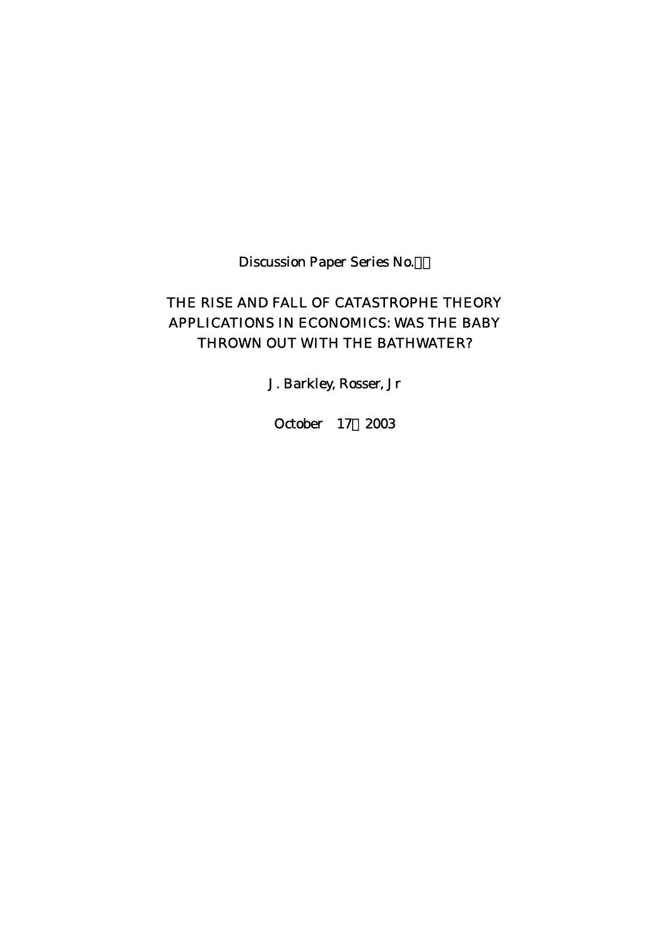Discussion Paper Series No.

# THE RISE AND FALL OF CATASTROPHE THEORY APPLICATIONS IN ECONOMICS: WAS THE BABY THROWN OUT WITH THE BATHWATER?

J. Barkley, Rosser, Jr

October 17 2003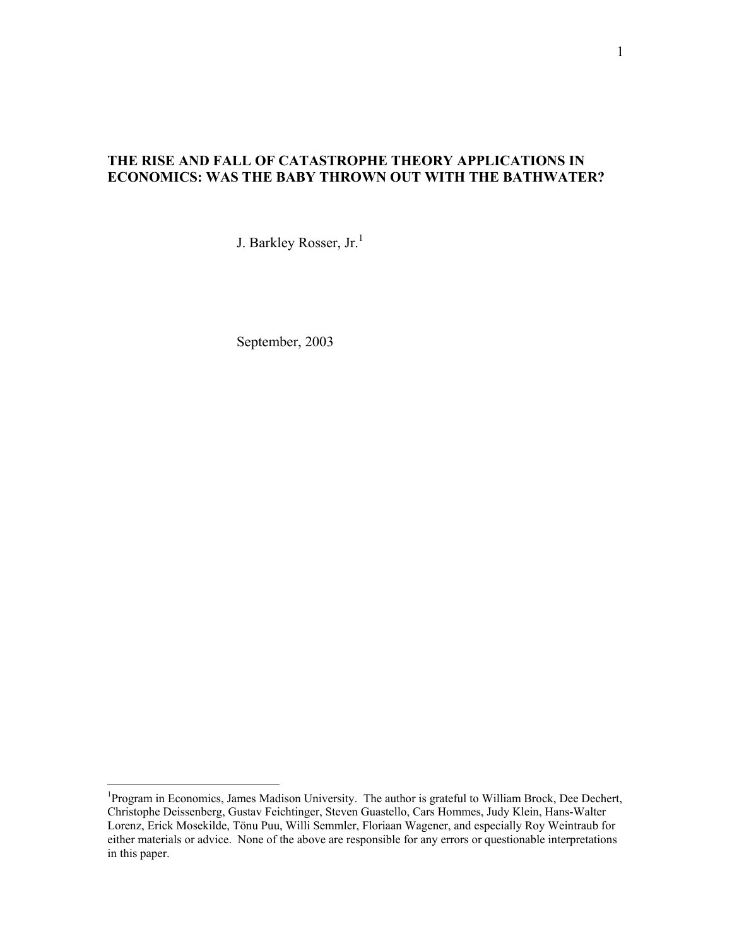# **THE RISE AND FALL OF CATASTROPHE THEORY APPLICATIONS IN ECONOMICS: WAS THE BABY THROWN OUT WITH THE BATHWATER?**

J. Barkley Rosser, Jr.<sup>[1](#page-1-0)</sup>

September, 2003

 $\overline{a}$ 

<span id="page-1-0"></span><sup>&</sup>lt;sup>1</sup>Program in Economics, James Madison University. The author is grateful to William Brock, Dee Dechert, Christophe Deissenberg, Gustav Feichtinger, Steven Guastello, Cars Hommes, Judy Klein, Hans-Walter Lorenz, Erick Mosekilde, Tönu Puu, Willi Semmler, Floriaan Wagener, and especially Roy Weintraub for either materials or advice. None of the above are responsible for any errors or questionable interpretations in this paper.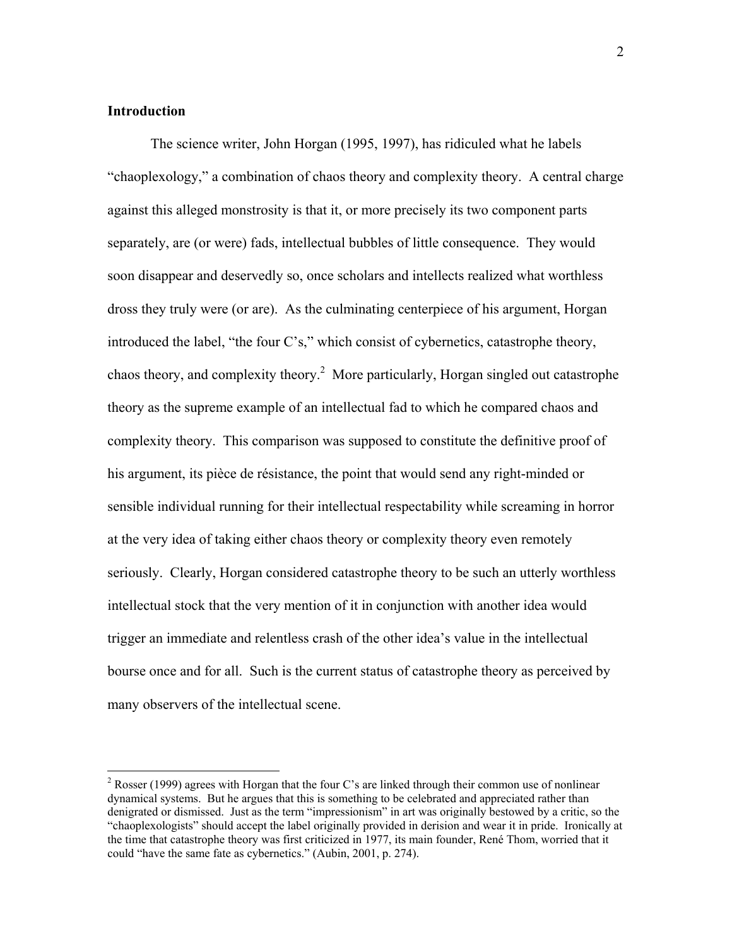# **Introduction**

 $\overline{a}$ 

 The science writer, John Horgan (1995, 1997), has ridiculed what he labels "chaoplexology," a combination of chaos theory and complexity theory. A central charge against this alleged monstrosity is that it, or more precisely its two component parts separately, are (or were) fads, intellectual bubbles of little consequence. They would soon disappear and deservedly so, once scholars and intellects realized what worthless dross they truly were (or are). As the culminating centerpiece of his argument, Horgan introduced the label, "the four C's," which consist of cybernetics, catastrophe theory, chaos theory, and complexity theory.<sup>2</sup> More particularly, Horgan singled out catastrophe theory as the supreme example of an intellectual fad to which he compared chaos and complexity theory. This comparison was supposed to constitute the definitive proof of his argument, its pièce de résistance, the point that would send any right-minded or sensible individual running for their intellectual respectability while screaming in horror at the very idea of taking either chaos theory or complexity theory even remotely seriously. Clearly, Horgan considered catastrophe theory to be such an utterly worthless intellectual stock that the very mention of it in conjunction with another idea would trigger an immediate and relentless crash of the other idea's value in the intellectual bourse once and for all. Such is the current status of catastrophe theory as perceived by many observers of the intellectual scene.

<span id="page-2-0"></span><sup>&</sup>lt;sup>2</sup> Rosser (1999) agrees with Horgan that the four C's are linked through their common use of nonlinear dynamical systems. But he argues that this is something to be celebrated and appreciated rather than denigrated or dismissed. Just as the term "impressionism" in art was originally bestowed by a critic, so the "chaoplexologists" should accept the label originally provided in derision and wear it in pride. Ironically at the time that catastrophe theory was first criticized in 1977, its main founder, René Thom, worried that it could "have the same fate as cybernetics." (Aubin, 2001, p. 274).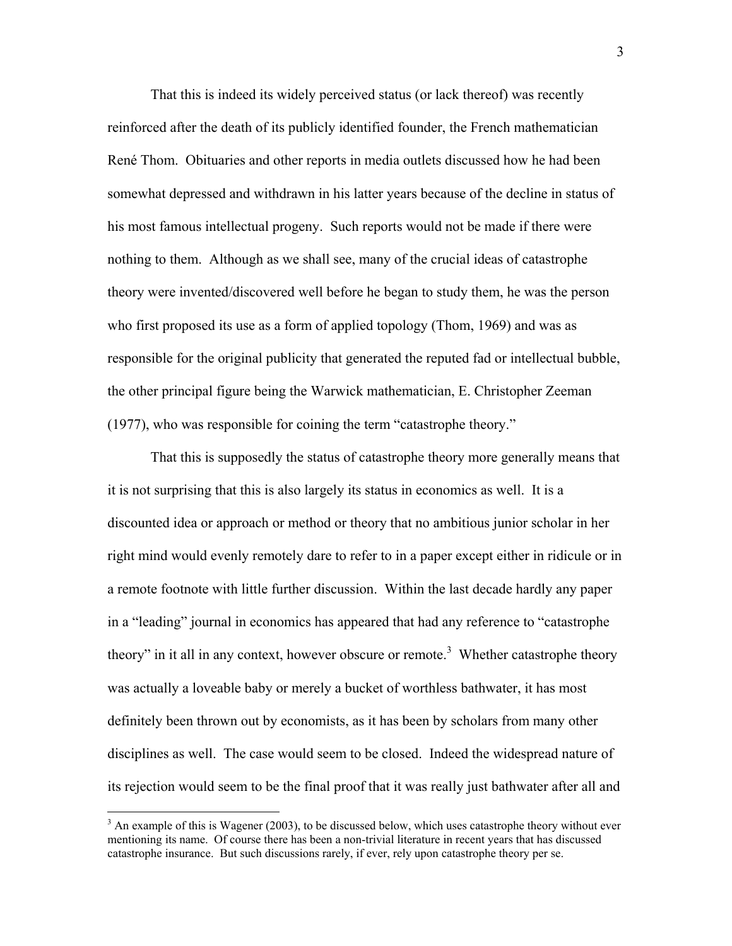That this is indeed its widely perceived status (or lack thereof) was recently reinforced after the death of its publicly identified founder, the French mathematician René Thom. Obituaries and other reports in media outlets discussed how he had been somewhat depressed and withdrawn in his latter years because of the decline in status of his most famous intellectual progeny. Such reports would not be made if there were nothing to them. Although as we shall see, many of the crucial ideas of catastrophe theory were invented/discovered well before he began to study them, he was the person who first proposed its use as a form of applied topology (Thom, 1969) and was as responsible for the original publicity that generated the reputed fad or intellectual bubble, the other principal figure being the Warwick mathematician, E. Christopher Zeeman (1977), who was responsible for coining the term "catastrophe theory."

 That this is supposedly the status of catastrophe theory more generally means that it is not surprising that this is also largely its status in economics as well. It is a discounted idea or approach or method or theory that no ambitious junior scholar in her right mind would evenly remotely dare to refer to in a paper except either in ridicule or in a remote footnote with little further discussion. Within the last decade hardly any paper in a "leading" journal in economics has appeared that had any reference to "catastrophe theory"in it all in any context, however obscure or remote.<sup>3</sup> Whether catastrophe theory was actually a loveable baby or merely a bucket of worthless bathwater, it has most definitely been thrown out by economists, as it has been by scholars from many other disciplines as well. The case would seem to be closed. Indeed the widespread nature of its rejection would seem to be the final proof that it was really just bathwater after all and

1

<span id="page-3-0"></span> $3$  An example of this is Wagener (2003), to be discussed below, which uses catastrophe theory without ever mentioning its name. Of course there has been a non-trivial literature in recent years that has discussed catastrophe insurance. But such discussions rarely, if ever, rely upon catastrophe theory per se.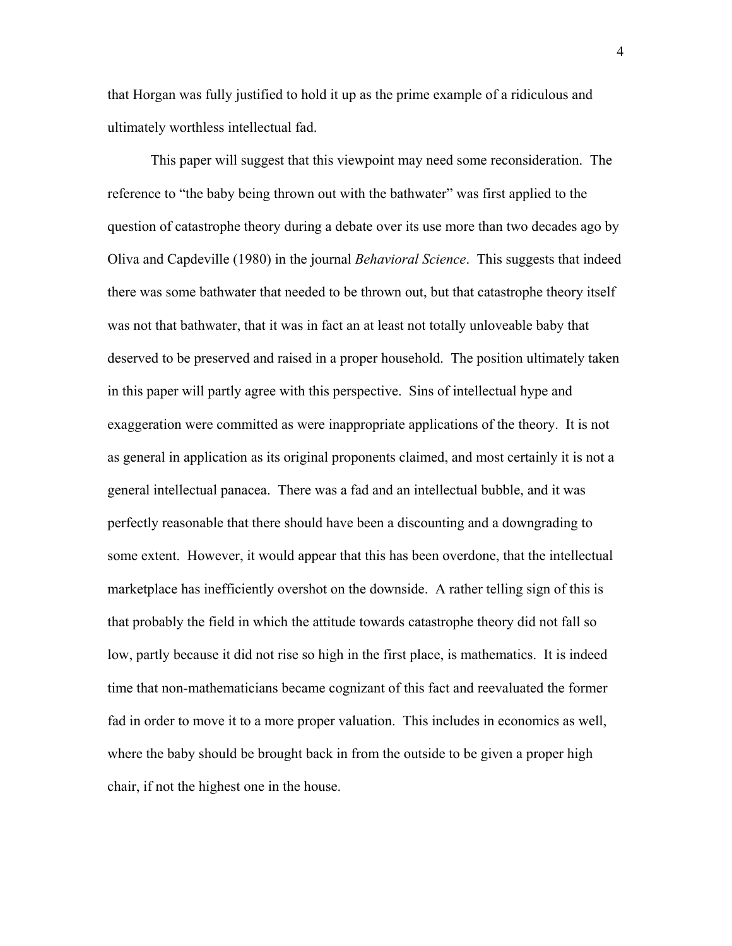that Horgan was fully justified to hold it up as the prime example of a ridiculous and ultimately worthless intellectual fad.

 This paper will suggest that this viewpoint may need some reconsideration. The reference to "the baby being thrown out with the bathwater" was first applied to the question of catastrophe theory during a debate over its use more than two decades ago by Oliva and Capdeville (1980) in the journal *Behavioral Science*. This suggests that indeed there was some bathwater that needed to be thrown out, but that catastrophe theory itself was not that bathwater, that it was in fact an at least not totally unloveable baby that deserved to be preserved and raised in a proper household. The position ultimately taken in this paper will partly agree with this perspective. Sins of intellectual hype and exaggeration were committed as were inappropriate applications of the theory. It is not as general in application as its original proponents claimed, and most certainly it is not a general intellectual panacea. There was a fad and an intellectual bubble, and it was perfectly reasonable that there should have been a discounting and a downgrading to some extent. However, it would appear that this has been overdone, that the intellectual marketplace has inefficiently overshot on the downside. A rather telling sign of this is that probably the field in which the attitude towards catastrophe theory did not fall so low, partly because it did not rise so high in the first place, is mathematics. It is indeed time that non-mathematicians became cognizant of this fact and reevaluated the former fad in order to move it to a more proper valuation. This includes in economics as well, where the baby should be brought back in from the outside to be given a proper high chair, if not the highest one in the house.

4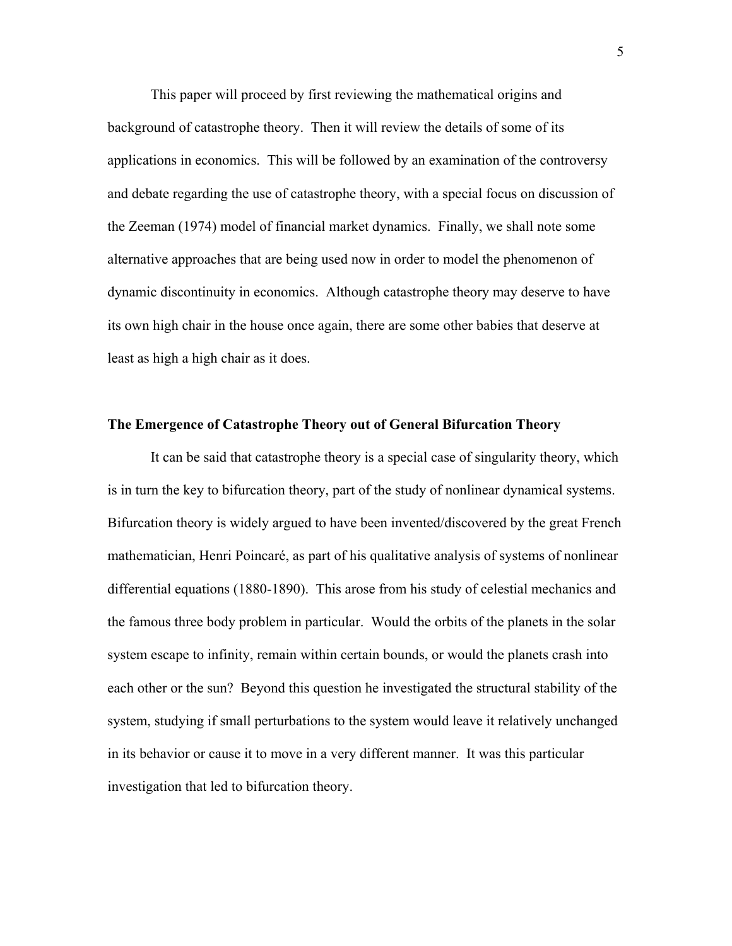This paper will proceed by first reviewing the mathematical origins and background of catastrophe theory. Then it will review the details of some of its applications in economics. This will be followed by an examination of the controversy and debate regarding the use of catastrophe theory, with a special focus on discussion of the Zeeman (1974) model of financial market dynamics. Finally, we shall note some alternative approaches that are being used now in order to model the phenomenon of dynamic discontinuity in economics. Although catastrophe theory may deserve to have its own high chair in the house once again, there are some other babies that deserve at least as high a high chair as it does.

## **The Emergence of Catastrophe Theory out of General Bifurcation Theory**

 It can be said that catastrophe theory is a special case of singularity theory, which is in turn the key to bifurcation theory, part of the study of nonlinear dynamical systems. Bifurcation theory is widely argued to have been invented/discovered by the great French mathematician, Henri Poincaré, as part of his qualitative analysis of systems of nonlinear differential equations (1880-1890). This arose from his study of celestial mechanics and the famous three body problem in particular. Would the orbits of the planets in the solar system escape to infinity, remain within certain bounds, or would the planets crash into each other or the sun? Beyond this question he investigated the structural stability of the system, studying if small perturbations to the system would leave it relatively unchanged in its behavior or cause it to move in a very different manner. It was this particular investigation that led to bifurcation theory.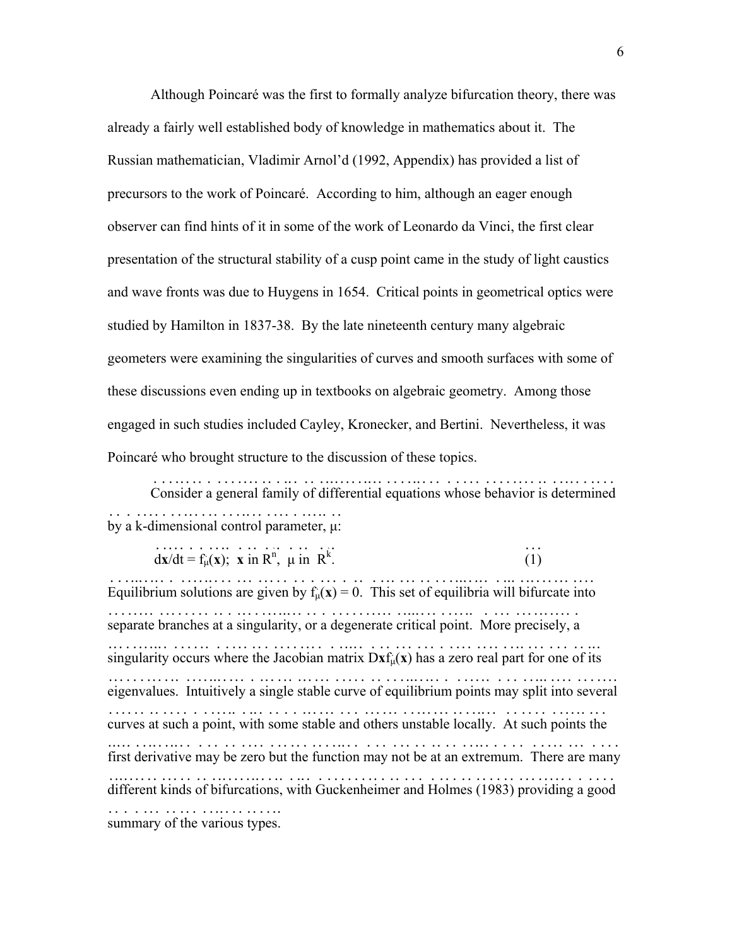Although Poincaré was the first to formally analyze bifurcation theory, there was already a fairly well established body of knowledge in mathematics about it. The Russian mathematician, Vladimir Arnol'd (1992, Appendix) has provided a list of precursors to the work of Poincaré. According to him, although an eager enough observer can find hints of it in some of the work of Leonardo da Vinci, the first clear presentation of the structural stability of a cusp point came in the study of light caustics and wave fronts was due to Huygens in 1654. Critical points in geometrical optics were studied by Hamilton in 1837-38. By the late nineteenth century many algebraic geometers were examining the singularities of curves and smooth surfaces with some of these discussions even ending up in textbooks on algebraic geometry. Among those engaged in such studies included Cayley, Kronecker, and Bertini. Nevertheless, it was Poincaré who brought structure to the discussion of these topics.

 Consider a general family of differential equations whose behavior is determined ...................................................................... by a k - dimensional control parameter, µ: .... . ..............................

 d . **x** .  $/dt = f$ ..... `<br>µ( . **x** . ) . ;<br>, . **x** .  $\therefore$   $\therefore$ <br>in R<sup>n</sup>,  $\vdots$   $\vdots$   $\vdots$   $\ddots$   $\ddots$   $\ddots$   $\ddots$ .  $(1)$ . ... Equilibrium solutions are given by  $f_{\mu}(x) = 0$ . This set of equilibria will bifurcate into ........................ ... .... . . . ....................................... separate branches at a singularity, or a degenerate critical point. More precisely, a ......................................................................... singularity occurs where the Jacobian matrix  $Dxf_{\mu}(x)$  has a zero real part for one of its ........................................ . . . . . ........................... eigenvalues. Int uitively a single stable curve of equilibrium points may split into several ............... ................................................................ curves at such a point, with some stable and others unstable locally. At such points the ......................................................................... first derivative may be zero but the function may not be at an extremum. There are many ....................................................................... d ifferent kinds of bifurcations, with Guckenheimer and Holmes (1983) providing a good . ......................................................................... summary of the various types. .........................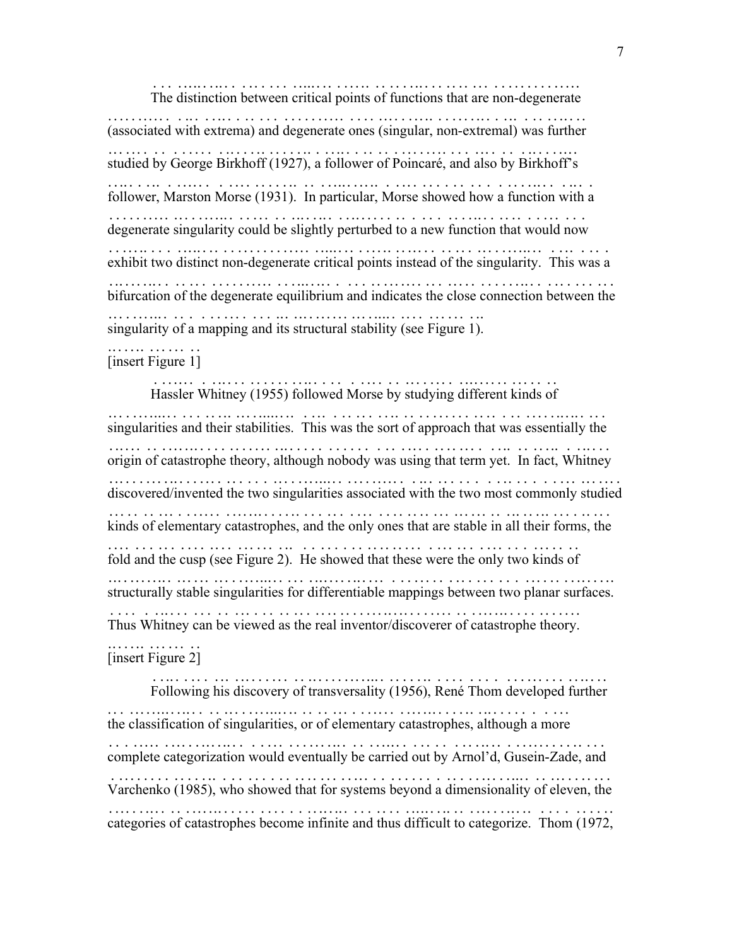The distinction between critical points of functions that are non - degenerate ........................................................ . .......... (associated with extrema) and degenerate ones (singular, non - ex tremal) was further ..................................................... . .. ................. studied by George Birkhoff (1927), a follower of Poincaré, and also by Birkhoff's ..................................................................... follower, Marston Morse (1931). In particular, Morse showed how a function with a ..................................................................... degenerate singularity could be slightly perturbed to a new function th at would now ............................................................. .......... exhibit two distinct non - degenerate critical points instead of the singularity. This was a ..................... . ........................................................ bifurcation of the degenerate equilibrium and indicates the close connection between the ............................................................................. singularity of a mapping and its structural stability (see Figure 1). ..................................................... ...... [insert Figure 1] ...............

7

 Hassler Whitney (1955) followed Morse by studying different kinds of ........................................................... singularities and their stabilities. This was the sort of approach that was essentially the .............................................................................. origin of catastrophe theory, although nobody was using that term y et. In fact, Whitney ......................................................... ................. discovered/invented the two singularities associated with the two most commonly studied ............................................................................. kinds of elementary catastrophes, and the only ones that are stable in all their forms, the ............................................................................ fold and the cusp (see Figure 2). He showed that thes e were the only two kinds of ........................................... ...................... structurally stable singularities for differentiable mappings between two planar surfaces. ................................................................................. Thus Whitney can be viewed as the real inventor/discoverer of catastrophe theory. ...................................................................... [insert Figure 2] ............... Following his discovery of transversality (1956), René Thom developed further .............................. ...................................... the classification of singularities, or of elementary catastrophes, although a more ......................................................................... complete categorization would eventually be carried out by Arnol'd, Gusein-Zade, and ................................................................. . ........ Varchenko (1985), who showed that for syste ms beyond a dimensionality of eleven, the ..................................... ...................................

categories of catastrophes become infinite and thus difficult to categorize. Thom (1972, .............................................................................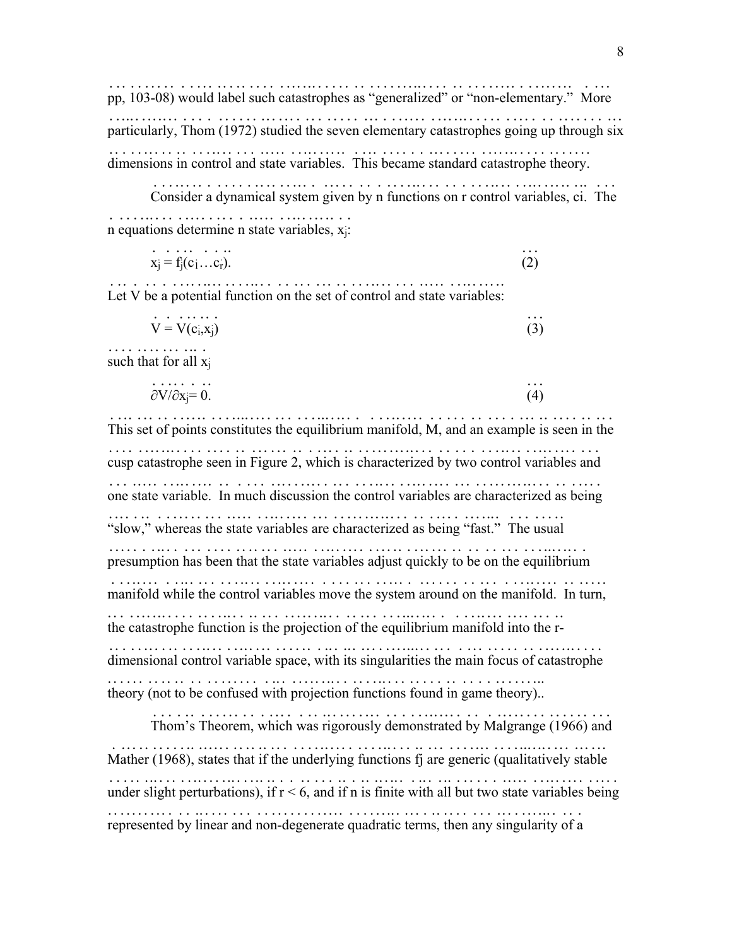pp, 103-08) would label such catastrophes as "generalized" or "non-elementary." More ...... . .................................................. . ................ particularly, Thom (1972) studied the seven elementary catastrophes going up through six ................................. ............................................ dimensions in control and state variables. This became standard catastrophe theory. .........................................................................

 Consider a dynamical system given by n functions on r control variables, ci. The ................................................................... n equations determine n state variables, x<sub>j</sub>: ................................ .... .

$$
x_j = f_j(c_1 \dots c_r). \tag{2}
$$

Let V be a potential function on the set of control and state variables: ...........................................................

$$
\mathbf{V} = \mathbf{V}(\mathbf{c}_i, \mathbf{x}_i) \tag{3}
$$

such that for all  $x_j$ ...............

$$
\overrightarrow{c}\sqrt{c}\times j=0. \tag{4}
$$

This set of points constitutes the equilibrium manifold, M, and an example is seen in the .......................................................................... cusp catastro phe seen in Figure 2, which is characterized by two control variables and ............ ............................................................. one state variable. In much discussion the control variables are characterized as being ........................................................................... "slow," whereas the state variables are characterized as being "fast." The usual ..................................................................... presumption has been that the state variables adjust quickly to be on the equilibrium ........... ............................................................. manifold while the control variables move the system around on the manifold. In turn, ........................................................................ the catastrophe function is the projection of the equilibrium manifold into the r - ..................................................................... . dimensional control variable space, with its singularities the main focus of catastrophe ........... .................................................................. theory (not to be confused with projection functions found in game theory). . ...... .......................................................... .

 Thom's Theorem, which was rigorously demonstrated by Malgrange (1966) and ................................................................ Mather (1968), states that if the underlying functions fj are generic (qualitatively stable ....................... ........................................................ under slight perturbations), if  $r < 6$ , and if n is finite with all but two state variables being .............................................................................. represented by linear and non - degenerate quadratic terms, then any singularity of a ......................... . ..............................................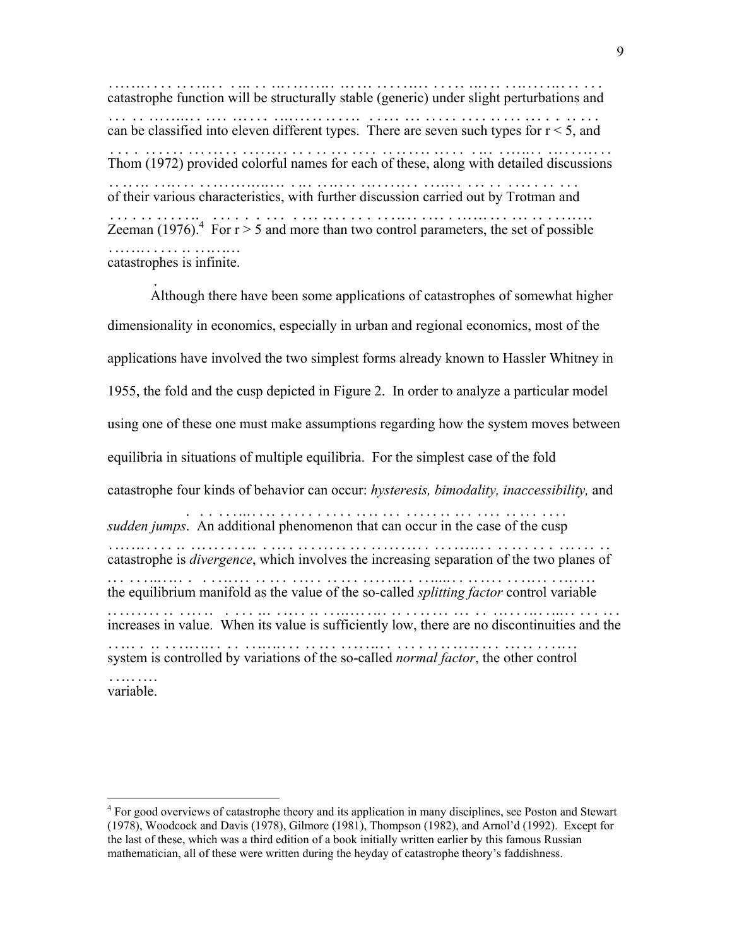catastroph e function will be structurally stable (generic) under slight perturbations and .......... ..................................................................... can be classified into eleven different types. There are seven such types for  $r < 5$ , and ........................................................................ Thom (1972) provided colorful names for each of these, along with detailed discussions .......................................................................... of their various characteristics, with further discussion carried out by Trotman and .........................................................................  $\frac{1}{2}$  Zeeman (1976). For r > 5 and more than two control parameters, the set of possible ...................................................... catastrophes is infinite. .......................

.

 $\overline{a}$ 

 A lthough there have been some applications of catastrophes of somewhat higher dimensionality in economics, especially in urban and regional economics, most of the applications have involved the two simplest forms already known to Hassler Whitney in 1955, the fold and the cusp depicted in Figure 2. In order to analyze a particular model using one of these one must make assumptions regarding how the system moves between equilibria in situations of multiple equilibria. For the simplest case of the fold catastrophe four kinds of behavior can occur: *hysteresis, bimodality, inaccessibility,* and *sudden jumps*. An additional phenomenon that can occur in the case of the cusp ..................................................... catastrophe is *divergence* , which involves the increasing separation of the two planes of ............. .......... ..................................................... the equilibrium manifold as the value of the so - called *split ting factor* control variable ....................................... . ...... ..... .......... ............... increases in value. When its value is sufficiently low, there are no discontinuities and the .............................................................................. system is controlled by variations of the so - called *normal factor* , the other control ..................................... . ...... ............ ................ variable. .........

<span id="page-9-0"></span><sup>&</sup>lt;sup>4</sup> For good overviews of catastrophe theory and its application in many disciplines, see Poston and Stewart (1978), Woodcock and Davis (1978), Gilmore (1981), Thompson (1982), and Arnol'd (1992). Except for the last of these, which was a third edition of a book initially written earlier by this famous Russian mathematician, all of these were written during the heyday of catastrophe theory's faddishness.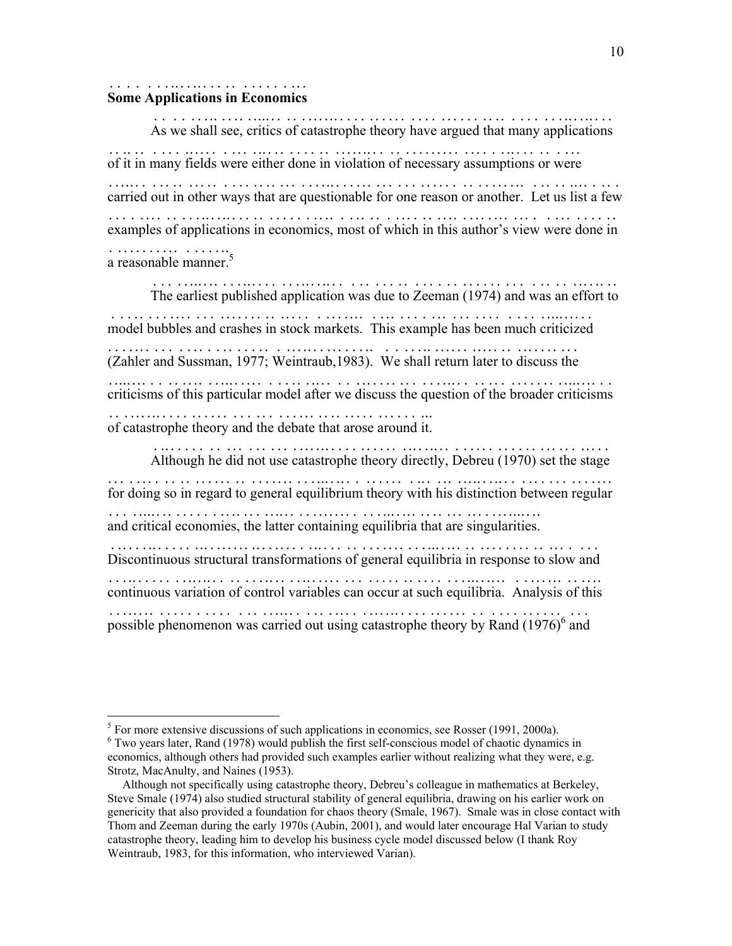#### **Some Applications in Economics** ...........................

1

 As w e shall see, critics of catastrophe theory have argued that many applications ... .................................................................. of it in many fields were either done in violation of necessary assumptions or were ..................................................................... carried out in other ways that are questionable for one reason or another. Let us list a few ........................................................................... examples of applications in economics, most of which in this author's view were done in ......................................................................... a reasonable manner.<sup>5</sup> ..................[5](#page-10-0)

 The earliest published application was due to Zeeman (1974) and was an effort to ................................................................... model bubbles and crashes in stock markets. This example has been much criticized ................................................... .................. (Zahler and Sussman, 1977; Weintraub,1983). We shall return later to discuss the ..................................................................... criticisms of this particular model after we discuss the question of the broader criticisms .............................................................................. of catastrophe theory and the debate that arose around it. .................................................

 Although he did not use catastrophe theory directly, Debreu (1970) set the stage .................................................................... for doing so in regard to general equilibrium theory with his distinction between regular ............................................................................ and critical economies, the latter containing equilibria that are singularities. ....................................................................... Discontinuous structural transformations of general equilibria in response to slow and ............................................................................ continuous variation of control variables can occur at such equilibria. Analysis of this ............................................................................

possible phenomenon was carried out using catastrophe theory by Rand  $(1976)^6$  and .................................................................[6](#page-10-1) . ..

<span id="page-10-0"></span> $<sup>5</sup>$  For more extensive discussions of such applications in economics, see Rosser (1991, 2000a).</sup>

<span id="page-10-1"></span><sup>&</sup>lt;sup>6</sup> Two years later, Rand (1978) would publish the first self-conscious model of chaotic dynamics in economics, although others had provided such examples earlier without realizing what they were, e.g. Strotz, MacAnulty, and Naines (1953).

Although not specifically using catastrophe theory, Debreu's colleague in mathematics at Berkeley, Steve Smale (1974) also studied structural stability of general equilibria, drawing on his earlier work on genericity that also provided a foundation for chaos theory (Smale, 1967). Smale was in close contact with Thom and Zeeman during the early 1970s (Aubin, 2001), and would later encourage Hal Varian to study catastrophe theory, leading him to develop his business cycle model discussed below (I thank Roy Weintraub, 1983, for this information, who interviewed Varian).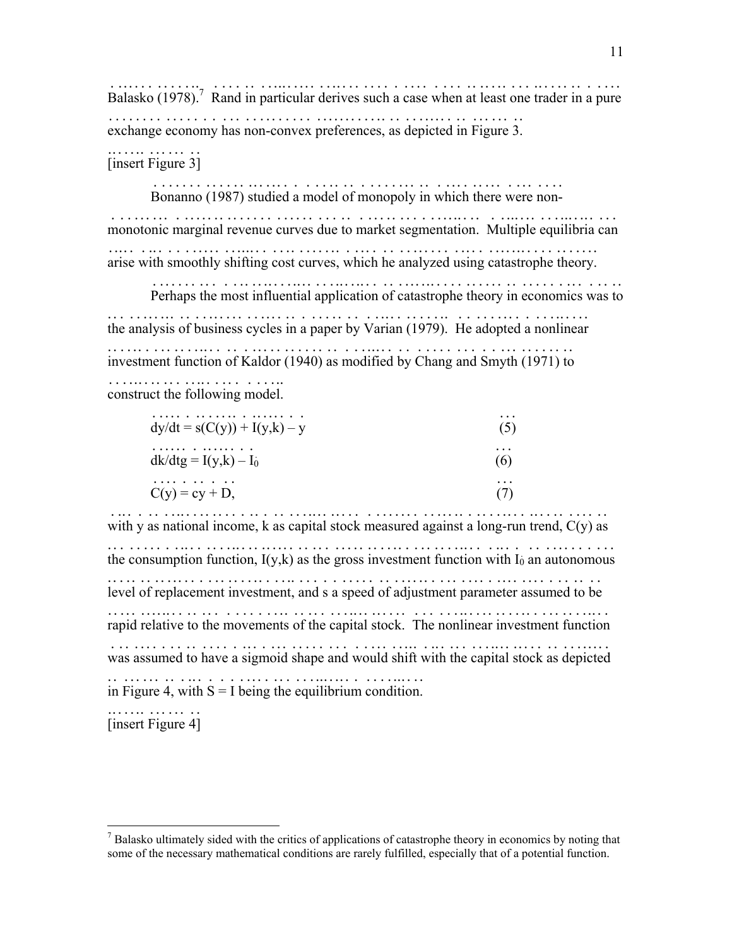Balasko (19[7](#page-11-0)8).<sup>7</sup> Rand in particular derives such a case when at least one trader in a pure ........................................................... exchange economy has non - convex preferences, as depicted in Figure 3. ..................... . ...................................... ...............

[insert Figure 3]

Bonanno (1987) studied a model of monopoly in which there were non-....................................................... .

monot onic marginal revenue curves due to market segmentation. Multiple equilibria can ..... ...................................................................... arise with smoothly shifting cost curves, which he analyzed using catastrophe theory. ..........................................................................

 Perhaps the most influential application of catastrophe theory in economics was to .......................................................................

the analysis of business cycles in a paper by Varian (1979). He adopted a nonlinear ... .................................................................. investment function of Kaldor (1940) as modified by Chang and Smyth (1971) to ................................................................. construct the following model. ...........................

|                                | $\cdots$ |
|--------------------------------|----------|
| $dy/dt = s(C(y)) + I(y,k) - y$ | (5)      |
| .                              | $\cdots$ |
| $dk/dtg = I(y,k) - I_0$        | $\sigma$ |
| .<br>$C(y) = cy + D$ ,         | $\cdots$ |

with y as national income,  $k$  as capital stock measured against a long-run trend,  $C(y)$  as ........................................... .............. . ............... the consumption function,  $I(y,k)$  as the gross investment function with  $I_0$  an autonomous .............................................................. ............ level of replacement investment, and s a speed of adjustment parameter assumed to be ....................................................................... rapid relative to the movements of the capital stock. The nonlinear investment function ....................................... .................................... was assumed to have a sigmoid shape and would shift with the capital stock as depicted ....................................................................... in Figure 4, with  $S = I$  being the equilibrium condition. ..............................................

[insert Figure 4] ...............

 $\overline{a}$ 

<span id="page-11-0"></span> $<sup>7</sup>$  Balasko ultimately sided with the critics of applications of catastrophe theory in economics by noting that</sup> some of the necessary mathematical conditions are rarely fulfilled, especially that of a potential function.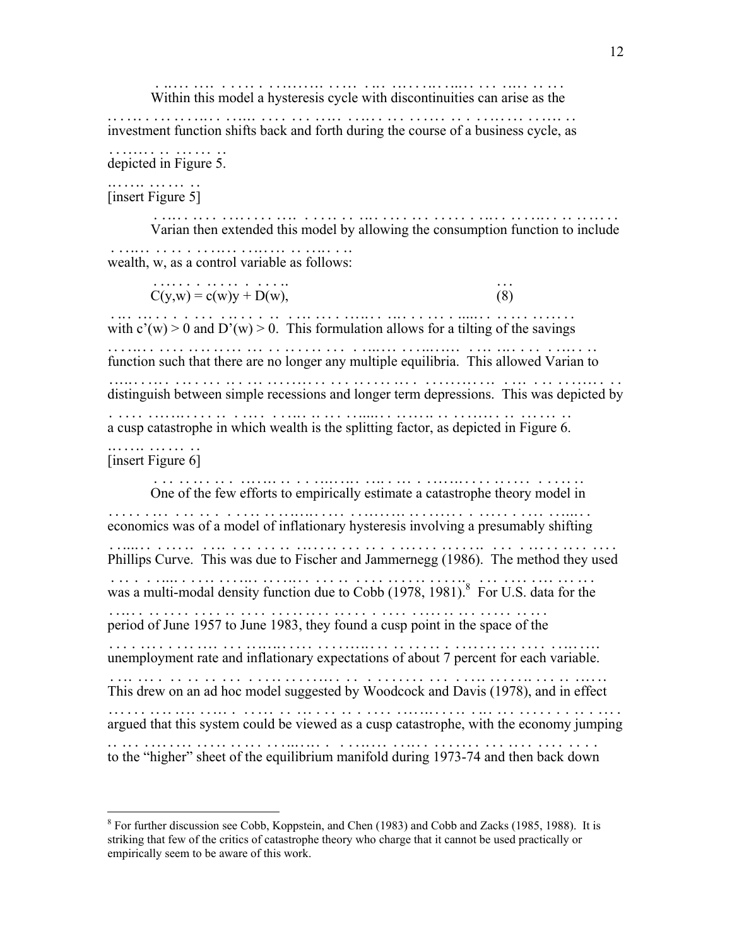Within this model a hysteresis cycle with discontinuities can arise as the .......................................... .....................

investment function shifts back and forth during the course of a business cycle, as ...................................................................... depicted in Figure 5. ..................

#### [insert Figure 5] ...............

 Varian then extended this model by allowing the consumption function to include .................................................................... wealth, w, as a control v ariable as follows: .................... .................

 $C(y, w) = c(w)y + D(w),$  (8) .................. ...

with  $c'(w) > 0$  and  $D'(w) > 0$ . This formulation allows for a tilting of the savings .................................................................. function such that there are no longer any multiple equilibria. Th is allowed Varian to ........................................................ ................. distinguish between simple recessions and longer term depressions. This was depicted by ............................................................................ a cusp catastrophe in which wealth is the splitting factor, as depicted in Figure 6. ...................................................................... ...............

# [insert Figure 6]

 $\overline{a}$ 

 One of the few efforts to empirically esti mate a catastrophe theory model in ................................... ............................. economics was of a model of inflationary hysteresis involving a presumably shifting ........................................................................ Phillips Curve. This was due to Fischer and Jammernegg (1986). The method they used ...................................................................... was a multi-modal density function due to Cobb (1978, 1981).<sup>8</sup> For U.S. data for the ......... . ................................. ........[8](#page-12-0) ................. period of June 1957 to June 1983, they found a cusp point in the space of the ............................................................. unemployment rate and inflationary expectations of about 7 percent for each variable. .......................................................................... This drew on an ad hoc model suggested by Woodcock and Da vis (1978), and in effect .............................................. ..................... argued that this system could be viewed as a cusp catastrophe, with the economy jumping ......................................................................... to the "higher" sheet of the equilibrium manifold during 1973 - 74 and then back down .................................................... . .................

<span id="page-12-0"></span><sup>&</sup>lt;sup>8</sup> For further discussion see Cobb, Koppstein, and Chen (1983) and Cobb and Zacks (1985, 1988). It is striking that few of the critics of catastrophe theory who charge that it cannot be used practically or empirically seem to be aware of this work.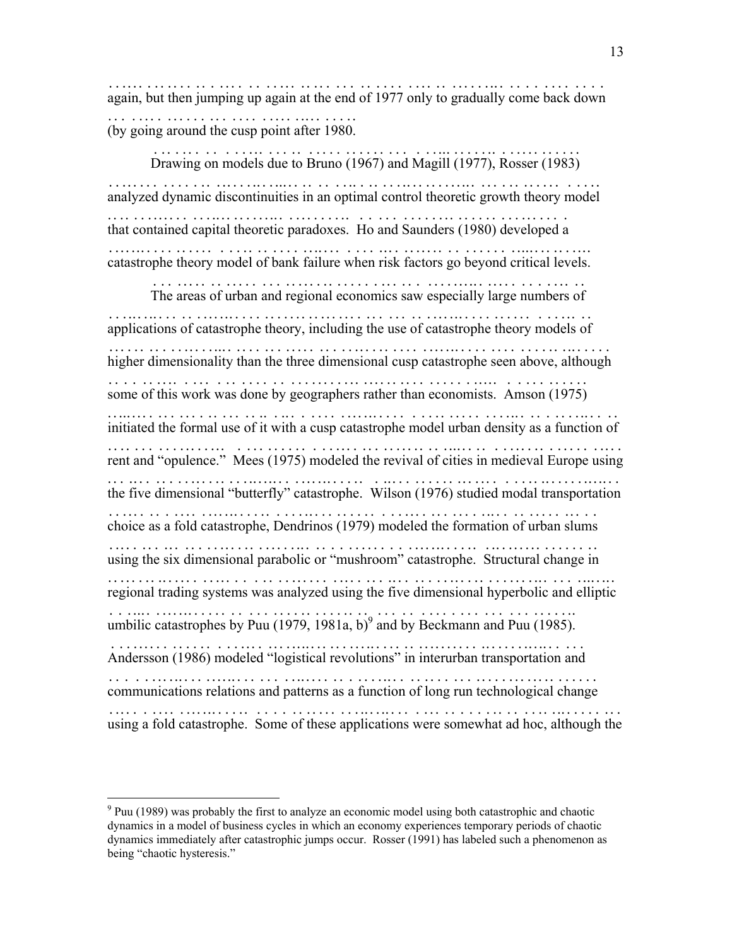again, but then jumping up again at the end of 1977 only t o gradually come back down .............................................. ...................... (by going around the cusp point after 1980. ....................................

 Drawing on models due to Bruno (1967) and Magill (1977), Rosser (1983) ........................................................... analyzed dynamic discontinuities in an optimal control theoretic growth theory model .......................................................................... that contained capital theoretic paradoxes. Ho and Saunders (1980) developed a ......................... ........................................... catastrophe theory model of bank failure when risk factors go beyond critical levels. .........................................................................

 The areas of urban and regional economics saw especially large numbers of .............................................................. applications of catastrophe theory, includi ng the use of catastrophe theory models of ....................................... ................................... higher dimensionality than the three dimensional cusp catastrophe seen above, although ............................................................................ some of this work was done by geographers rather than economists. Amson (1975) .................................................................. initiated the formal use of it with a cusp catastrophe model urban density as a function of ..................................... ...................................... rent and "opulence." Mees (1975) modeled the revival of cities in medieval Europe using .......................................................................... the five dimensional "butterfly" catastrophe. Wilson (1976) studied modal transportation ............................................................................... choice as a fold catastrophe, D endrinos (1979) modeled the formation of urban slums .......................... ............................................. using the six dimensional parabolic or "mushroom" catastrophe. Structural change in ......................................................................... regional trading systems was analyzed using the five dimensional hyperbolic and elliptic ............................................................................. umbilic catastrophes by Puu ( .........................  $1979, 1981a, b)^9$  $1979, 1981a, b)^9$  $1979, 1981a, b)^9$  and by Beckmann and Puu (1985). .......................... Andersson (1986) modeled "logistical revolutions" in interurban transportation and .......................................................................... communications relations and patterns as a function of long run technological change ......................................................................... using a fold catastrophe. Some of the se applications were somewhat ad hoc, although the ............................... ...........................................

 $\overline{a}$ 

<span id="page-13-0"></span> $9$  Puu (1989) was probably the first to analyze an economic model using both catastrophic and chaotic dynamics in a model of business cycles in which an economy experiences temporary periods of chaotic dynamics immediately after catastrophic jumps occur. Rosser (1991) has labeled such a phenomenon as being "chaotic hysteresis."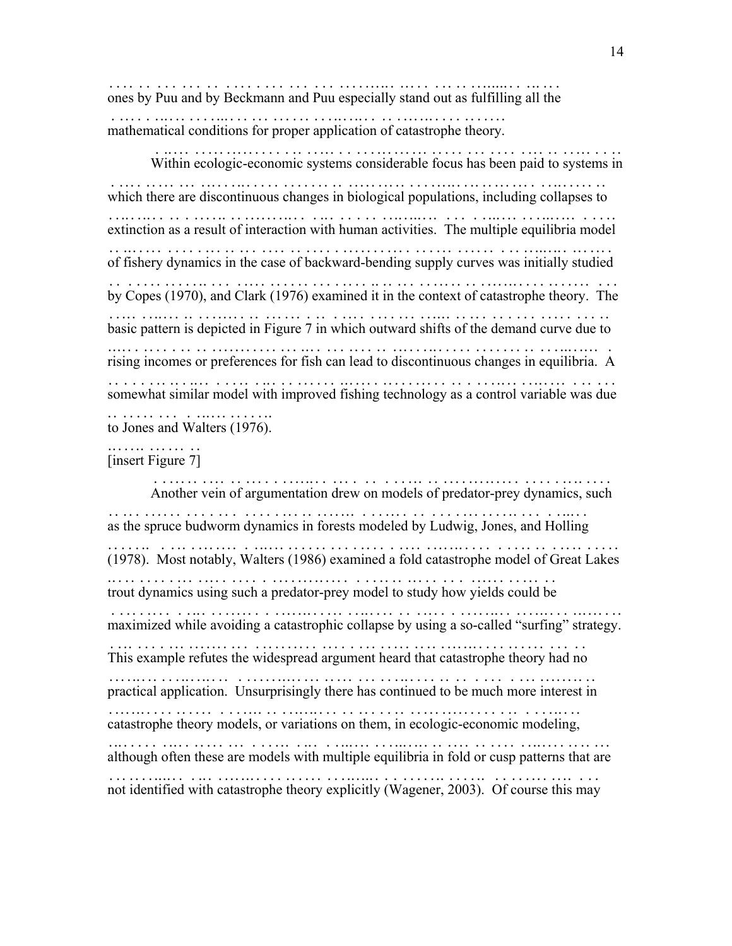ones by Puu and by Beckmann and Puu especially stand out as fulfilling all the ................................................................

mathematical conditions for proper application of catastrophe theory. ..............................................................

 Within ecologic - economic systems considerable focus has been paid to systems in .............. . ................................... ................... which there are discontinuous changes in biological populations, including collapses to ............................................................................. extinction as a result of interaction with human activities. The multiple equilibria model .............................................................................. of fishery dynamics in the case of backward - bending supply curves was initially studied .................................... . ....... ............................... by Copes (1970), and Clark (1976) examined it in the context of catastrophe theory. The ......................................................................... basic pattern is depicted in Figure 7 in which outward shifts of the demand curve due to ........................................................................ rising incomes or preferences for fish ca n lead to discontinuous changes in equilibria. A ................................... ......................................... somewhat similar model with improved fishing technology as a control variable was due ......................................................................... to Jones and Walters (1976). ........................

[insert Figure 7] ...............

 Another vein of argumentation drew on models of predator - prey dynamics, such ................................................ . ............. .... as the spruce budworm dynamics in forests modeled by Ludwig, Jones, and Holling ................................................................... (1978). Most notably, Walters (1986) examined a fold catastrophe model of Great Lakes ......................................................................... trout dynamics using such a predator - prey model to study how yields could be ............................... . ................................ maximized while avoiding a catastrophic collapse by using a so-called "surfing" strategy. ....... .............................................. . ........................ This example refutes the widespread argument heard that catastrophe theory had no ...................................................................... practical application. Unsurprisingly there has continued to be much more interest in .......................................................................... catastrophe theory models, or variations on them, in ecologic-economic modeling, ... .................................................. . ................. although often these are models with multiple equilibria in fold or cusp patterns that are ............................................................................ not identified with catastrophe theory explicitly (Wagener, 2003). Of course this may ..........................................................................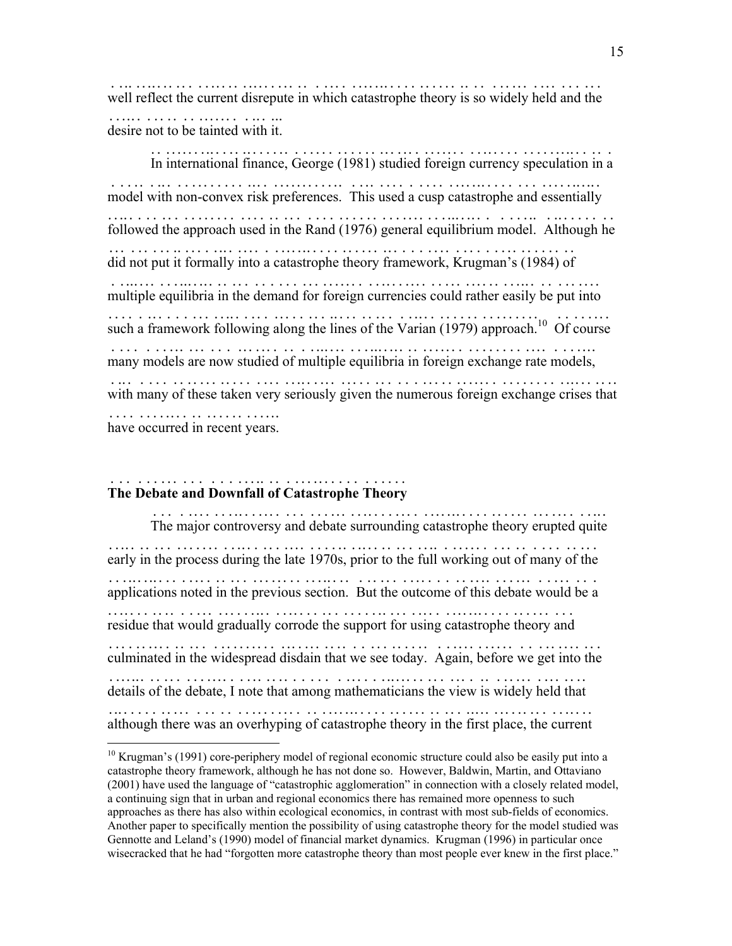well reflect the current disrepute in which catastrophe theory is so widely held and the .......................................................................... desire not to be tainted with it. ...........................

 In international finance, George (1981) studied foreign currency speculation in a ....................................................................... model with non - convex risk preferences. This used a cusp catastrophe and essentially ............ . .............................. .............................. followed the approach used in the Rand (1976) general equilibrium model. Although he ........................................................................ did not put it formally into a catastrophe theory framework, Krugman's (1984) of .................................................................... multiple equilibria in the demand for foreign currenc ies could rather easily be put into .............................................. ............................. such a framework following along the lines of the Varian (1979) approach.<sup>10</sup> Of course many models are now studied of multiple equilibria in foreign exchange rate models, ....................................................................... with many of these taken very seriously given the numerous foreign exchange crises that ......................................... ................................. have occurred in recent years. ..........................

#### **The Debate and Downfall of Catastrophe Theory** .......................................

 $\overline{a}$ 

 The major controversy and debate surrounding catastrophe theory erupted quite .................................................................... early in the process during the late 1970s, prior to the full working out of many of the .................................................. ..................... applications noted in the previous section. But the outcome of this debate would be a ....................................................................... residue that would gradually corrode the support for using catastrophe theory and ...................................................................... culminated in the widespread disdain that we see today. Ag ain, before we get into the ................................................. ...................... details of the debate, I note that among mathematicians the view is widely held that ...................................................................... although there was an overhyping of catastrophe theory in the first place, the current .........................................................................

<span id="page-15-0"></span><sup>&</sup>lt;sup>10</sup> Krugman's (1991) core-periphery model of regional economic structure could also be easily put into a catastrophe theory framework, although he has not done so. However, Baldwin, Martin, and Ottaviano (2001) have used the language of "catastrophic agglomeration" in connection with a closely related model, a continuing sign that in urban and regional economics there has remained more openness to such approaches as there has also within ecological economics, in contrast with most sub-fields of economics. Another paper to specifically mention the possibility of using catastrophe theory for the model studied was Gennotte and Leland's (1990) model of financial market dynamics. Krugman (1996) in particular once wisecracked that he had "forgotten more catastrophe theory than most people ever knew in the first place."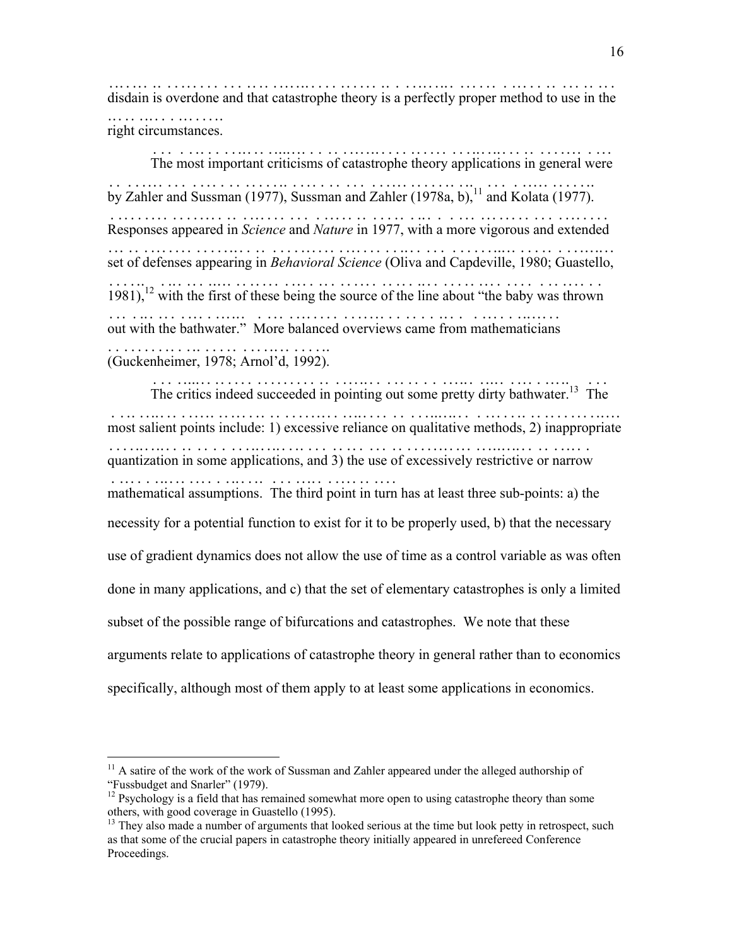disdain is overdone and that catastrophe theory is a per fectly proper method to use in the ............................................... ............................ right circumstances. ...................

 The most important criticisms of catastrophe theory applications in general were ...................................................................... by Zahler and Sussman (1977), Sussman and Zahler (1978a, b), ...................................................[11 a](#page-16-0)nd Kolata (1977). ................ Responses appeared in *Science* and *Nature* in 1977, with a more vigorous and extended ................... ....... ... .. .... ................................... set of defenses appearing in *Behavioral Science* (Oliva and Capdeville, 1980; Guastello, ........................ ................. ...................................  $1981$ , <sup>12</sup> with the first of these being the source of the line about "the baby was thrown ................................................................ out with the bathwater." More b alanced overviews came from mathematicians .......................... ...................................... (Guckenheimer, 1978; Arnol'd, 1992). .................................

The critics indeed succeeded in pointing out some pretty dirty bathwater.<sup>13</sup> The most salient points include: 1) excessive reliance on qualitative methods, 2) inappropriate ................................................................................ qua ntization in some applications, and 3) the use of excessively restrictive or narrow ... ....................................................................... mathematical assumptions. The third point in turn has at least three sub-points: a) the ........................................... necessity for a potential function to exist for it to be properly used, b) that the necessary use of gradient dynamics does not allow the use of time as a control variable as was often done in many applications, and c) that the set of elementary catastrophes is only a limited subset of the possible range of bifurcations and catastrophes. We note that these arguments relate to applications of catastrophe theory in general rather than to economics specifically, although most of them apply to at least some applications in economics.

<u>.</u>

<span id="page-16-0"></span> $11$  A satire of the work of the work of Sussman and Zahler appeared under the alleged authorship of "Fussbudget and Snarler" (1979).

<span id="page-16-1"></span><sup>&</sup>lt;sup>12</sup> Psychology is a field that has remained somewhat more open to using catastrophe theory than some others, with good coverage in Guastello (1995).

<span id="page-16-2"></span><sup>&</sup>lt;sup>13</sup> They also made a number of arguments that looked serious at the time but look petty in retrospect, such as that some of the crucial papers in catastrophe theory initially appeared in unrefereed Conference Proceedings.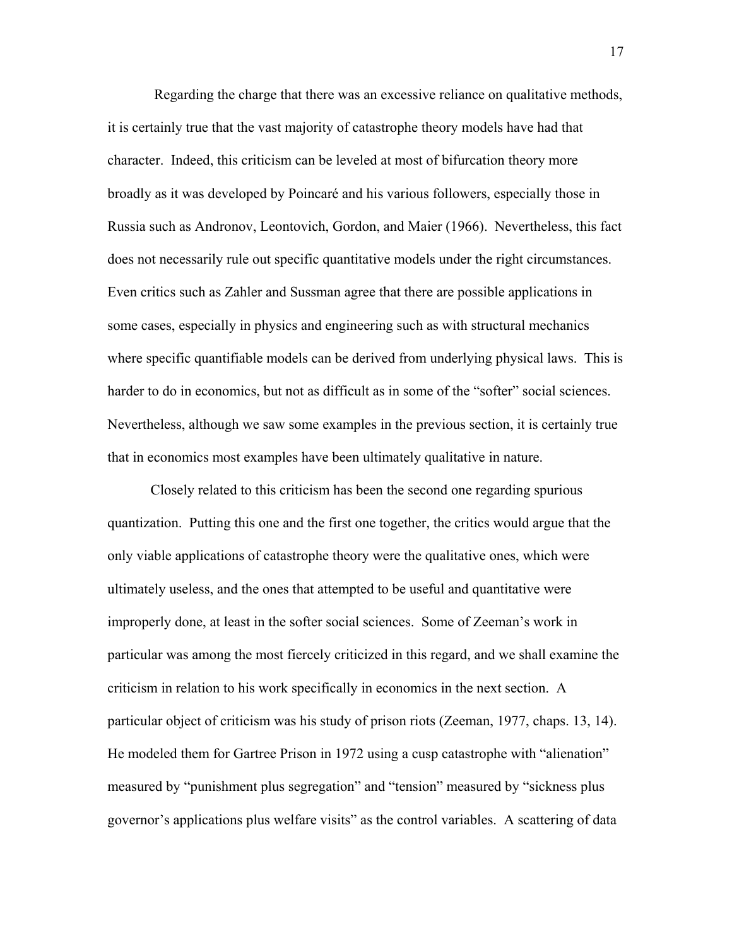Regarding the charge that there was an excessive reliance on qualitative methods, it is certainly true that the vast majority of catastrophe theory models have had that character. Indeed, this criticism can be leveled at most of bifurcation theory more broadly as it was developed by Poincaré and his various followers, especially those in Russia such as Andronov, Leontovich, Gordon, and Maier (1966). Nevertheless, this fact does not necessarily rule out specific quantitative models under the right circumstances. Even critics such as Zahler and Sussman agree that there are possible applications in some cases, especially in physics and engineering such as with structural mechanics where specific quantifiable models can be derived from underlying physical laws. This is harder to do in economics, but not as difficult as in some of the "softer" social sciences. Nevertheless, although we saw some examples in the previous section, it is certainly true that in economics most examples have been ultimately qualitative in nature.

 Closely related to this criticism has been the second one regarding spurious quantization. Putting this one and the first one together, the critics would argue that the only viable applications of catastrophe theory were the qualitative ones, which were ultimately useless, and the ones that attempted to be useful and quantitative were improperly done, at least in the softer social sciences. Some of Zeeman's work in particular was among the most fiercely criticized in this regard, and we shall examine the criticism in relation to his work specifically in economics in the next section. A particular object of criticism was his study of prison riots (Zeeman, 1977, chaps. 13, 14). He modeled them for Gartree Prison in 1972 using a cusp catastrophe with "alienation" measured by "punishment plus segregation" and "tension" measured by "sickness plus governor's applications plus welfare visits" as the control variables. A scattering of data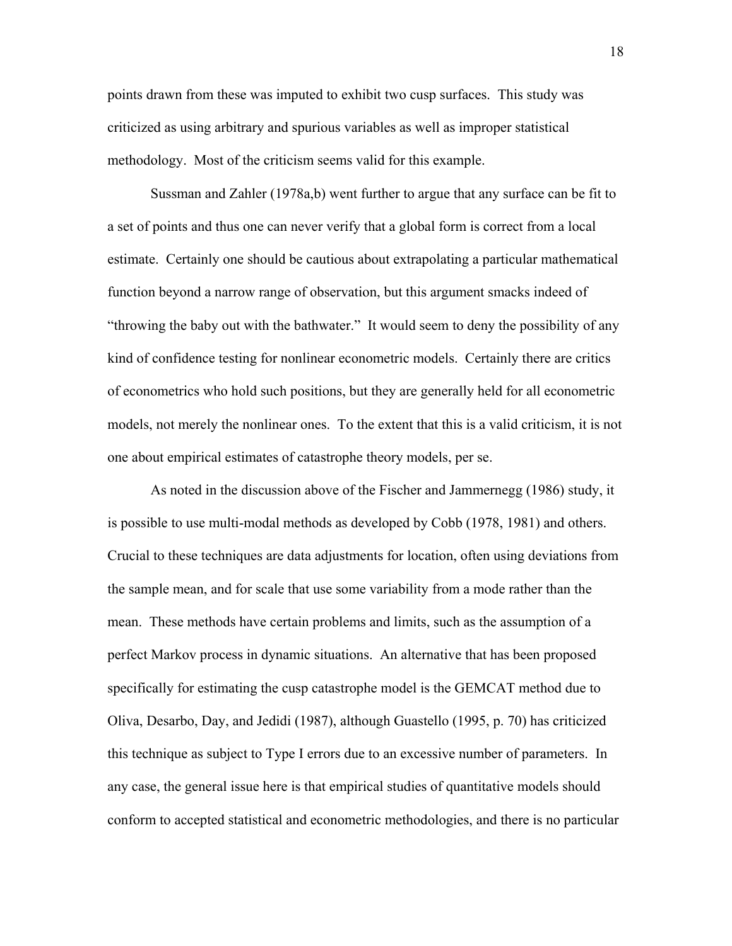points drawn from these was imputed to exhibit two cusp surfaces. This study was criticized as using arbitrary and spurious variables as well as improper statistical methodology. Most of the criticism seems valid for this example.

 Sussman and Zahler (1978a,b) went further to argue that any surface can be fit to a set of points and thus one can never verify that a global form is correct from a local estimate. Certainly one should be cautious about extrapolating a particular mathematical function beyond a narrow range of observation, but this argument smacks indeed of "throwing the baby out with the bathwater." It would seem to deny the possibility of any kind of confidence testing for nonlinear econometric models. Certainly there are critics of econometrics who hold such positions, but they are generally held for all econometric models, not merely the nonlinear ones. To the extent that this is a valid criticism, it is not one about empirical estimates of catastrophe theory models, per se.

 As noted in the discussion above of the Fischer and Jammernegg (1986) study, it is possible to use multi-modal methods as developed by Cobb (1978, 1981) and others. Crucial to these techniques are data adjustments for location, often using deviations from the sample mean, and for scale that use some variability from a mode rather than the mean. These methods have certain problems and limits, such as the assumption of a perfect Markov process in dynamic situations. An alternative that has been proposed specifically for estimating the cusp catastrophe model is the GEMCAT method due to Oliva, Desarbo, Day, and Jedidi (1987), although Guastello (1995, p. 70) has criticized this technique as subject to Type I errors due to an excessive number of parameters. In any case, the general issue here is that empirical studies of quantitative models should conform to accepted statistical and econometric methodologies, and there is no particular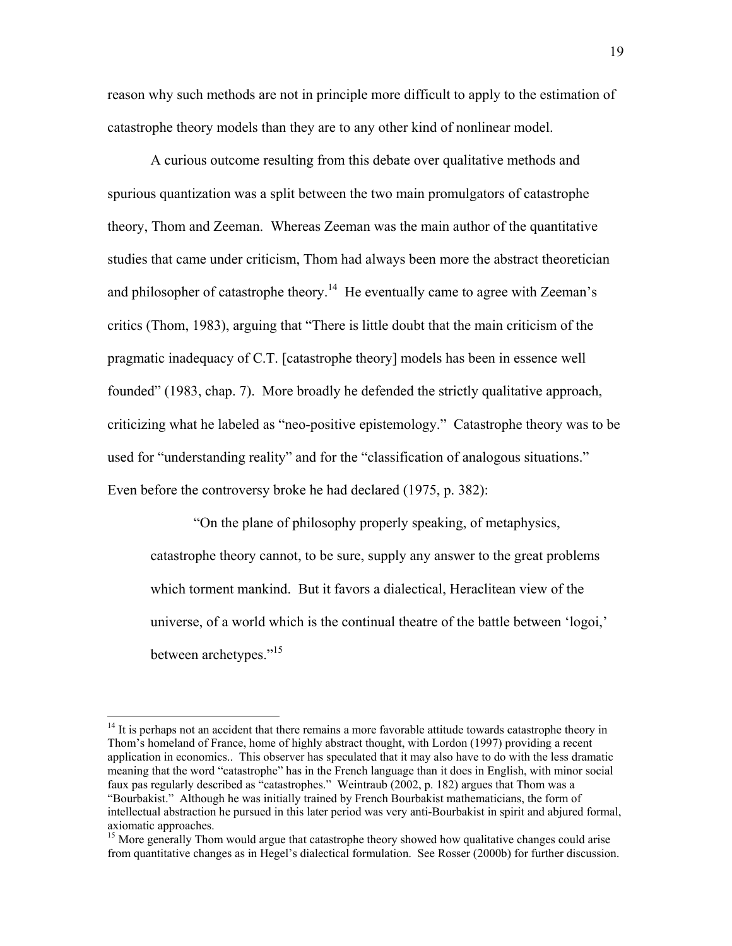reason why such methods are not in principle more difficult to apply to the estimation of catastrophe theory models than they are to any other kind of nonlinear model.

 A curious outcome resulting from this debate over qualitative methods and spurious quantization was a split between the two main promulgators of catastrophe theory, Thom and Zeeman. Whereas Zeeman was the main author of the quantitative studies that came under criticism, Thom had always been more the abstract theoretician and philosopher of catastrophe theory.<sup>14</sup> He eventually came to agree with Zeeman's critics (Thom, 1983), arguing that "There is little doubt that the main criticism of the pragmatic inadequacy of C.T. [catastrophe theory] models has been in essence well founded" (1983, chap. 7). More broadly he defended the strictly qualitative approach, criticizing what he labeled as "neo-positive epistemology." Catastrophe theory was to be used for "understanding reality" and for the "classification of analogous situations." Even before the controversy broke he had declared (1975, p. 382):

"On the plane of philosophy properly speaking, of metaphysics, catastrophe theory cannot, to be sure, supply any answer to the great problems which torment mankind. But it favors a dialectical, Heraclitean view of the universe, of a world which is the continual theatre of the battle between 'logoi,' between archetypes."<sup>[15](#page-19-1)</sup>

 $\overline{a}$ 

<span id="page-19-0"></span> $14$  It is perhaps not an accident that there remains a more favorable attitude towards catastrophe theory in Thom's homeland of France, home of highly abstract thought, with Lordon (1997) providing a recent application in economics.. This observer has speculated that it may also have to do with the less dramatic meaning that the word "catastrophe" has in the French language than it does in English, with minor social faux pas regularly described as "catastrophes." Weintraub (2002, p. 182) argues that Thom was a "Bourbakist." Although he was initially trained by French Bourbakist mathematicians, the form of intellectual abstraction he pursued in this later period was very anti-Bourbakist in spirit and abjured formal, axiomatic approaches.

<span id="page-19-1"></span><sup>&</sup>lt;sup>15</sup> More generally Thom would argue that catastrophe theory showed how qualitative changes could arise from quantitative changes as in Hegel's dialectical formulation. See Rosser (2000b) for further discussion.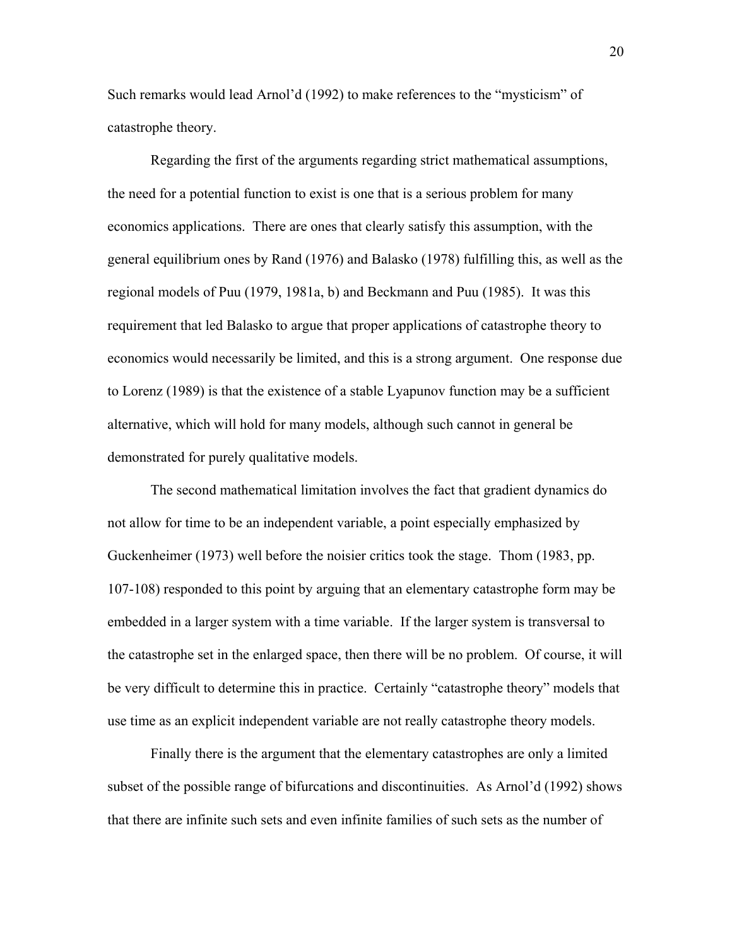Such remarks would lead Arnol'd (1992) to make references to the "mysticism" of catastrophe theory.

 Regarding the first of the arguments regarding strict mathematical assumptions, the need for a potential function to exist is one that is a serious problem for many economics applications. There are ones that clearly satisfy this assumption, with the general equilibrium ones by Rand (1976) and Balasko (1978) fulfilling this, as well as the regional models of Puu (1979, 1981a, b) and Beckmann and Puu (1985). It was this requirement that led Balasko to argue that proper applications of catastrophe theory to economics would necessarily be limited, and this is a strong argument. One response due to Lorenz (1989) is that the existence of a stable Lyapunov function may be a sufficient alternative, which will hold for many models, although such cannot in general be demonstrated for purely qualitative models.

 The second mathematical limitation involves the fact that gradient dynamics do not allow for time to be an independent variable, a point especially emphasized by Guckenheimer (1973) well before the noisier critics took the stage. Thom (1983, pp. 107-108) responded to this point by arguing that an elementary catastrophe form may be embedded in a larger system with a time variable. If the larger system is transversal to the catastrophe set in the enlarged space, then there will be no problem. Of course, it will be very difficult to determine this in practice. Certainly "catastrophe theory" models that use time as an explicit independent variable are not really catastrophe theory models.

 Finally there is the argument that the elementary catastrophes are only a limited subset of the possible range of bifurcations and discontinuities. As Arnol'd (1992) shows that there are infinite such sets and even infinite families of such sets as the number of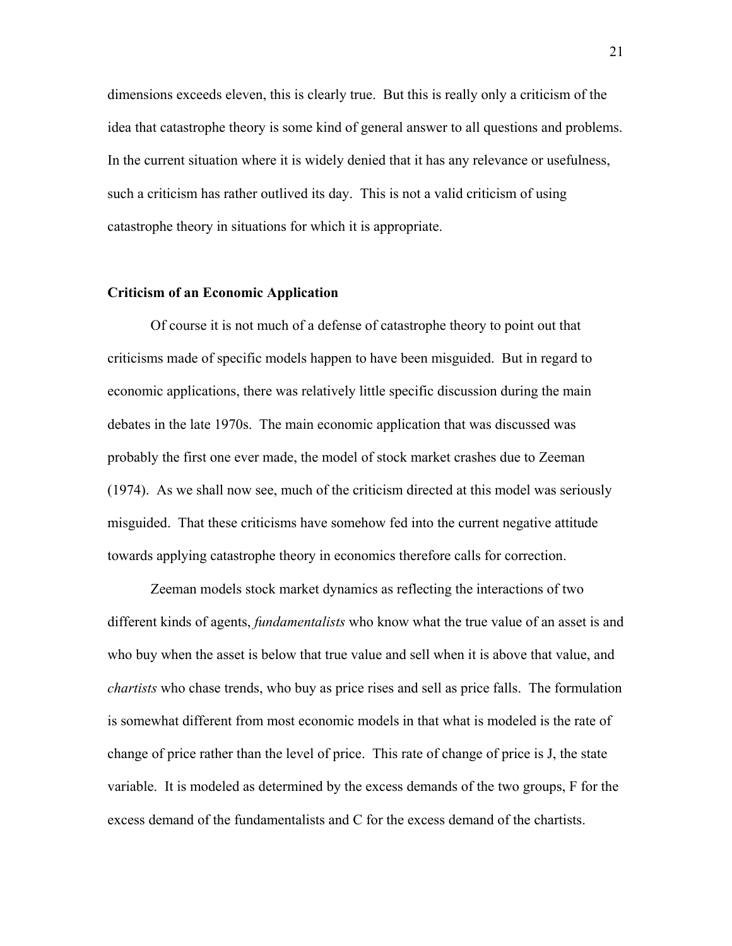dimensions exceeds eleven, this is clearly true. But this is really only a criticism of the idea that catastrophe theory is some kind of general answer to all questions and problems. In the current situation where it is widely denied that it has any relevance or usefulness, such a criticism has rather outlived its day. This is not a valid criticism of using catastrophe theory in situations for which it is appropriate.

# **Criticism of an Economic Application**

 Of course it is not much of a defense of catastrophe theory to point out that criticisms made of specific models happen to have been misguided. But in regard to economic applications, there was relatively little specific discussion during the main debates in the late 1970s. The main economic application that was discussed was probably the first one ever made, the model of stock market crashes due to Zeeman (1974). As we shall now see, much of the criticism directed at this model was seriously misguided. That these criticisms have somehow fed into the current negative attitude towards applying catastrophe theory in economics therefore calls for correction.

 Zeeman models stock market dynamics as reflecting the interactions of two different kinds of agents, *fundamentalists* who know what the true value of an asset is and who buy when the asset is below that true value and sell when it is above that value, and *chartists* who chase trends, who buy as price rises and sell as price falls. The formulation is somewhat different from most economic models in that what is modeled is the rate of change of price rather than the level of price. This rate of change of price is J, the state variable. It is modeled as determined by the excess demands of the two groups, F for the excess demand of the fundamentalists and C for the excess demand of the chartists.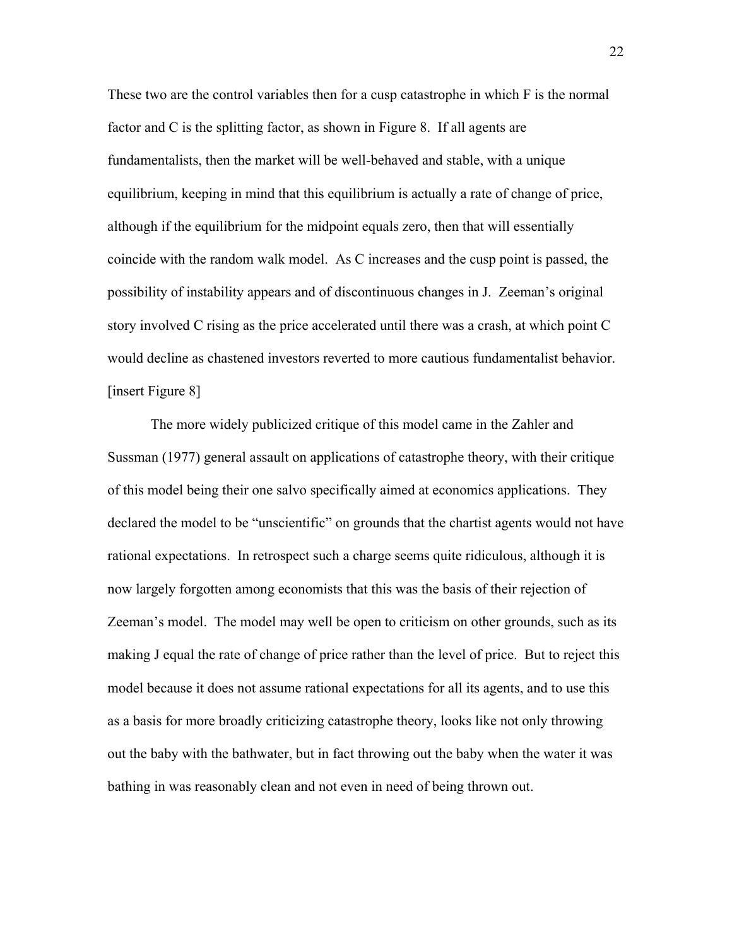These two are the control variables then for a cusp catastrophe in which F is the normal factor and C is the splitting factor, as shown in Figure 8. If all agents are fundamentalists, then the market will be well-behaved and stable, with a unique equilibrium, keeping in mind that this equilibrium is actually a rate of change of price, although if the equilibrium for the midpoint equals zero, then that will essentially coincide with the random walk model. As C increases and the cusp point is passed, the possibility of instability appears and of discontinuous changes in J. Zeeman's original story involved C rising as the price accelerated until there was a crash, at which point C would decline as chastened investors reverted to more cautious fundamentalist behavior. [insert Figure 8]

 The more widely publicized critique of this model came in the Zahler and Sussman (1977) general assault on applications of catastrophe theory, with their critique of this model being their one salvo specifically aimed at economics applications. They declared the model to be "unscientific" on grounds that the chartist agents would not have rational expectations. In retrospect such a charge seems quite ridiculous, although it is now largely forgotten among economists that this was the basis of their rejection of Zeeman's model. The model may well be open to criticism on other grounds, such as its making J equal the rate of change of price rather than the level of price. But to reject this model because it does not assume rational expectations for all its agents, and to use this as a basis for more broadly criticizing catastrophe theory, looks like not only throwing out the baby with the bathwater, but in fact throwing out the baby when the water it was bathing in was reasonably clean and not even in need of being thrown out.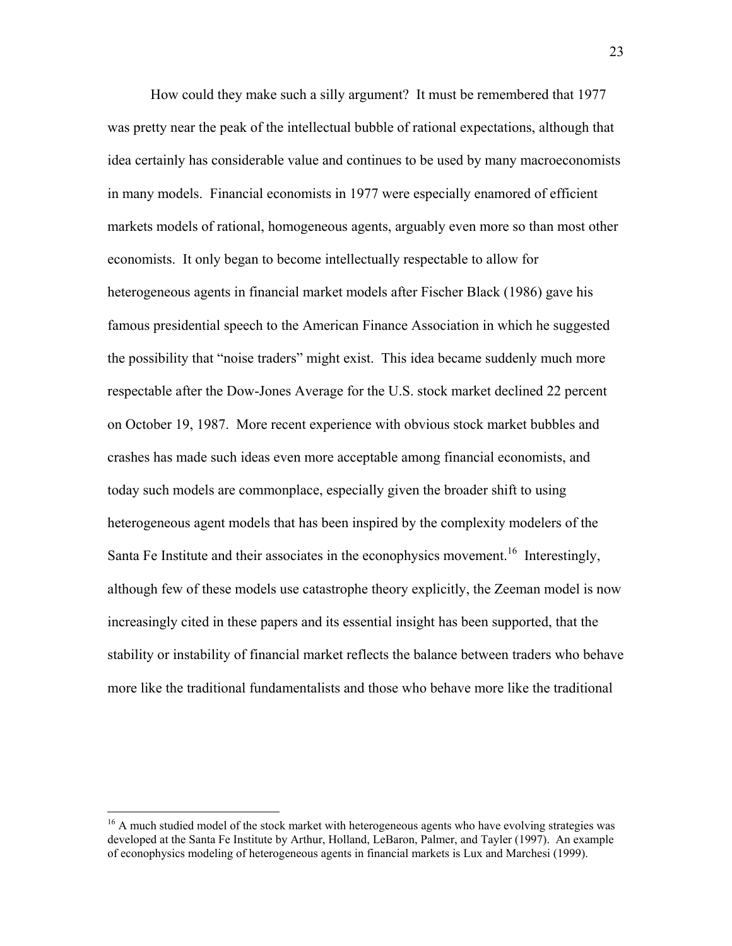How could they make such a silly argument? It must be remembered that 1977 was pretty near the peak of the intellectual bubble of rational expectations, although that idea certainly has considerable value and continues to be used by many macroeconomists in many models. Financial economists in 1977 were especially enamored of efficient markets models of rational, homogeneous agents, arguably even more so than most other economists. It only began to become intellectually respectable to allow for heterogeneous agents in financial market models after Fischer Black (1986) gave his famous presidential speech to the American Finance Association in which he suggested the possibility that "noise traders" might exist. This idea became suddenly much more respectable after the Dow-Jones Average for the U.S. stock market declined 22 percent on October 19, 1987. More recent experience with obvious stock market bubbles and crashes has made such ideas even more acceptable among financial economists, and today such models are commonplace, especially given the broader shift to using heterogeneous agent models that has been inspired by the complexity modelers of the Santa Fe Institute and their associates in the econophysics movement.<sup>16</sup> Interestingly, although few of these models use catastrophe theory explicitly, the Zeeman model is now increasingly cited in these papers and its essential insight has been supported, that the stability or instability of financial market reflects the balance between traders who behave more like the traditional fundamentalists and those who behave more like the traditional

 $\overline{a}$ 

<span id="page-23-0"></span><sup>&</sup>lt;sup>16</sup> A much studied model of the stock market with heterogeneous agents who have evolving strategies was developed at the Santa Fe Institute by Arthur, Holland, LeBaron, Palmer, and Tayler (1997). An example of econophysics modeling of heterogeneous agents in financial markets is Lux and Marchesi (1999).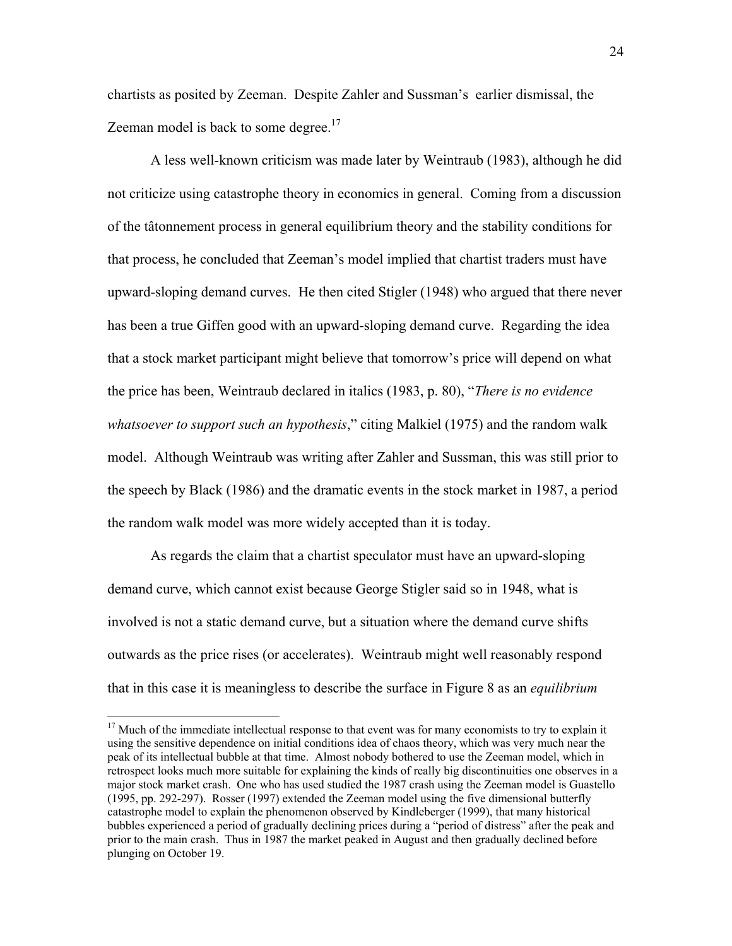chartists as posited by Zeeman. Despite Zahler and Sussman's earlier dismissal, the Zeeman model is back to some degree.<sup>17</sup>

 A less well-known criticism was made later by Weintraub (1983), although he did not criticize using catastrophe theory in economics in general. Coming from a discussion of the tâtonnement process in general equilibrium theory and the stability conditions for that process, he concluded that Zeeman's model implied that chartist traders must have upward-sloping demand curves. He then cited Stigler (1948) who argued that there never has been a true Giffen good with an upward-sloping demand curve. Regarding the idea that a stock market participant might believe that tomorrow's price will depend on what the price has been, Weintraub declared in italics (1983, p. 80), "*There is no evidence whatsoever to support such an hypothesis*," citing Malkiel (1975) and the random walk model. Although Weintraub was writing after Zahler and Sussman, this was still prior to the speech by Black (1986) and the dramatic events in the stock market in 1987, a period the random walk model was more widely accepted than it is today.

 As regards the claim that a chartist speculator must have an upward-sloping demand curve, which cannot exist because George Stigler said so in 1948, what is involved is not a static demand curve, but a situation where the demand curve shifts outwards as the price rises (or accelerates). Weintraub might well reasonably respond that in this case it is meaningless to describe the surface in Figure 8 as an *equilibrium* 

1

<span id="page-24-0"></span> $17$  Much of the immediate intellectual response to that event was for many economists to try to explain it using the sensitive dependence on initial conditions idea of chaos theory, which was very much near the peak of its intellectual bubble at that time. Almost nobody bothered to use the Zeeman model, which in retrospect looks much more suitable for explaining the kinds of really big discontinuities one observes in a major stock market crash. One who has used studied the 1987 crash using the Zeeman model is Guastello (1995, pp. 292-297). Rosser (1997) extended the Zeeman model using the five dimensional butterfly catastrophe model to explain the phenomenon observed by Kindleberger (1999), that many historical bubbles experienced a period of gradually declining prices during a "period of distress" after the peak and prior to the main crash. Thus in 1987 the market peaked in August and then gradually declined before plunging on October 19.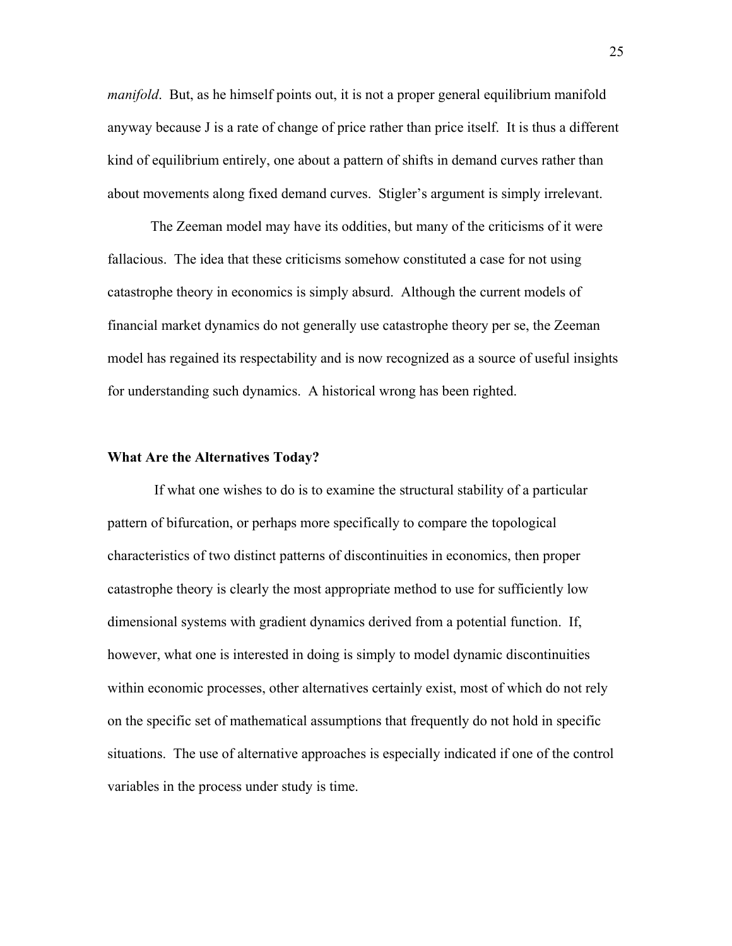*manifold*. But, as he himself points out, it is not a proper general equilibrium manifold anyway because J is a rate of change of price rather than price itself. It is thus a different kind of equilibrium entirely, one about a pattern of shifts in demand curves rather than about movements along fixed demand curves. Stigler's argument is simply irrelevant.

 The Zeeman model may have its oddities, but many of the criticisms of it were fallacious. The idea that these criticisms somehow constituted a case for not using catastrophe theory in economics is simply absurd. Although the current models of financial market dynamics do not generally use catastrophe theory per se, the Zeeman model has regained its respectability and is now recognized as a source of useful insights for understanding such dynamics. A historical wrong has been righted.

## **What Are the Alternatives Today?**

 If what one wishes to do is to examine the structural stability of a particular pattern of bifurcation, or perhaps more specifically to compare the topological characteristics of two distinct patterns of discontinuities in economics, then proper catastrophe theory is clearly the most appropriate method to use for sufficiently low dimensional systems with gradient dynamics derived from a potential function. If, however, what one is interested in doing is simply to model dynamic discontinuities within economic processes, other alternatives certainly exist, most of which do not rely on the specific set of mathematical assumptions that frequently do not hold in specific situations. The use of alternative approaches is especially indicated if one of the control variables in the process under study is time.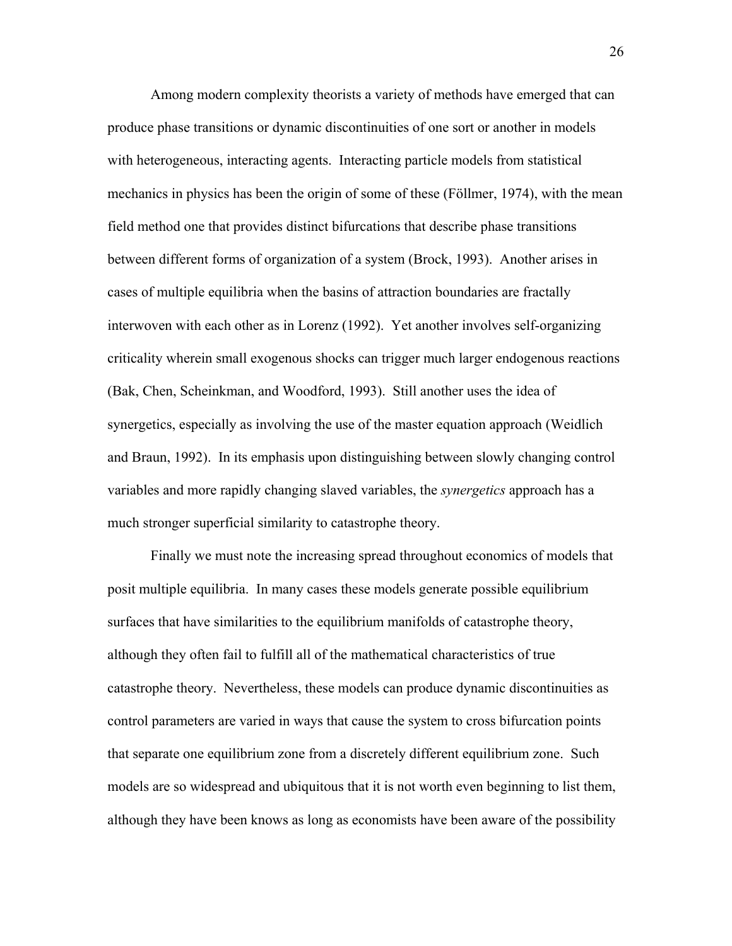Among modern complexity theorists a variety of methods have emerged that can produce phase transitions or dynamic discontinuities of one sort or another in models with heterogeneous, interacting agents. Interacting particle models from statistical mechanics in physics has been the origin of some of these (Föllmer, 1974), with the mean field method one that provides distinct bifurcations that describe phase transitions between different forms of organization of a system (Brock, 1993). Another arises in cases of multiple equilibria when the basins of attraction boundaries are fractally interwoven with each other as in Lorenz (1992). Yet another involves self-organizing criticality wherein small exogenous shocks can trigger much larger endogenous reactions (Bak, Chen, Scheinkman, and Woodford, 1993). Still another uses the idea of synergetics, especially as involving the use of the master equation approach (Weidlich and Braun, 1992). In its emphasis upon distinguishing between slowly changing control variables and more rapidly changing slaved variables, the *synergetics* approach has a much stronger superficial similarity to catastrophe theory.

 Finally we must note the increasing spread throughout economics of models that posit multiple equilibria. In many cases these models generate possible equilibrium surfaces that have similarities to the equilibrium manifolds of catastrophe theory, although they often fail to fulfill all of the mathematical characteristics of true catastrophe theory. Nevertheless, these models can produce dynamic discontinuities as control parameters are varied in ways that cause the system to cross bifurcation points that separate one equilibrium zone from a discretely different equilibrium zone. Such models are so widespread and ubiquitous that it is not worth even beginning to list them, although they have been knows as long as economists have been aware of the possibility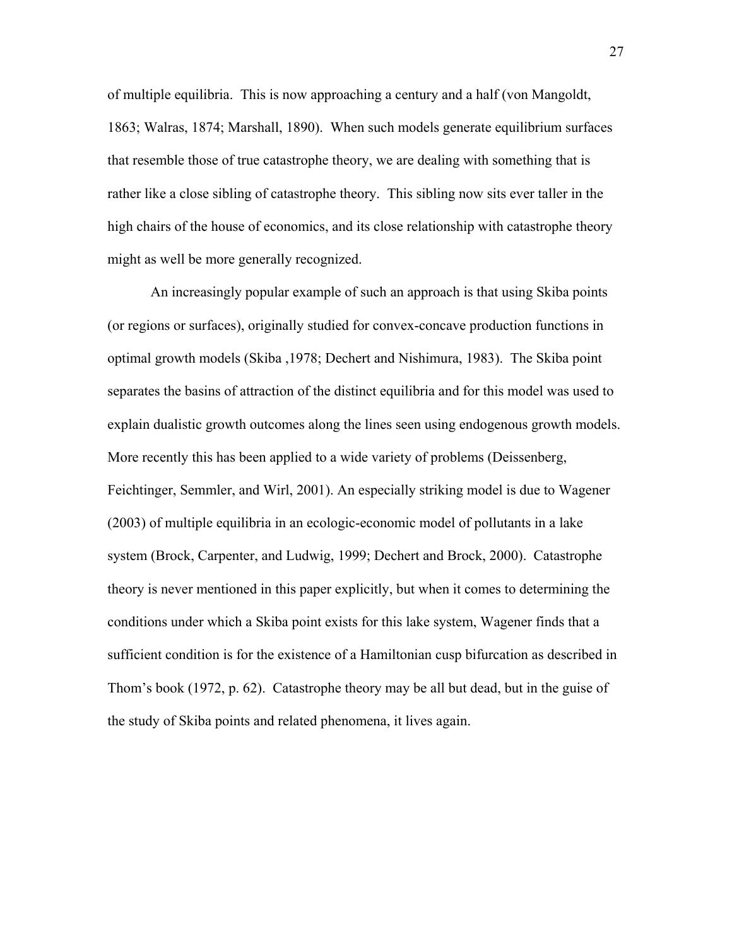of multiple equilibria. This is now approaching a century and a half (von Mangoldt, 1863; Walras, 1874; Marshall, 1890). When such models generate equilibrium surfaces that resemble those of true catastrophe theory, we are dealing with something that is rather like a close sibling of catastrophe theory. This sibling now sits ever taller in the high chairs of the house of economics, and its close relationship with catastrophe theory might as well be more generally recognized.

 An increasingly popular example of such an approach is that using Skiba points (or regions or surfaces), originally studied for convex-concave production functions in optimal growth models (Skiba ,1978; Dechert and Nishimura, 1983). The Skiba point separates the basins of attraction of the distinct equilibria and for this model was used to explain dualistic growth outcomes along the lines seen using endogenous growth models. More recently this has been applied to a wide variety of problems (Deissenberg, Feichtinger, Semmler, and Wirl, 2001). An especially striking model is due to Wagener (2003) of multiple equilibria in an ecologic-economic model of pollutants in a lake system (Brock, Carpenter, and Ludwig, 1999; Dechert and Brock, 2000). Catastrophe theory is never mentioned in this paper explicitly, but when it comes to determining the conditions under which a Skiba point exists for this lake system, Wagener finds that a sufficient condition is for the existence of a Hamiltonian cusp bifurcation as described in Thom's book (1972, p. 62). Catastrophe theory may be all but dead, but in the guise of the study of Skiba points and related phenomena, it lives again.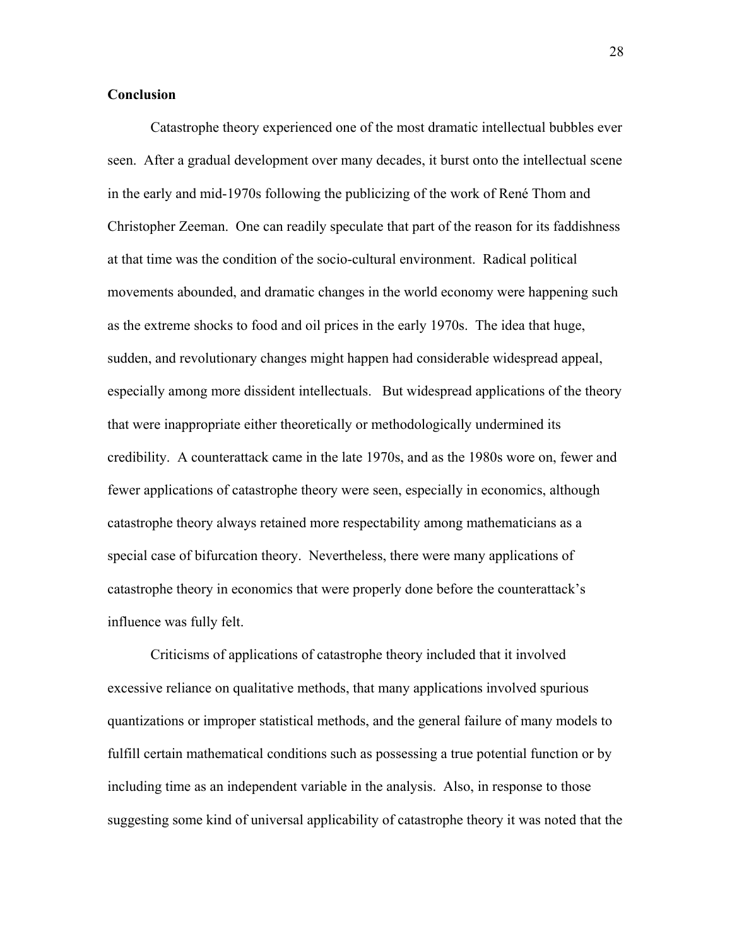# **Conclusion**

 Catastrophe theory experienced one of the most dramatic intellectual bubbles ever seen. After a gradual development over many decades, it burst onto the intellectual scene in the early and mid-1970s following the publicizing of the work of René Thom and Christopher Zeeman. One can readily speculate that part of the reason for its faddishness at that time was the condition of the socio-cultural environment. Radical political movements abounded, and dramatic changes in the world economy were happening such as the extreme shocks to food and oil prices in the early 1970s. The idea that huge, sudden, and revolutionary changes might happen had considerable widespread appeal, especially among more dissident intellectuals. But widespread applications of the theory that were inappropriate either theoretically or methodologically undermined its credibility. A counterattack came in the late 1970s, and as the 1980s wore on, fewer and fewer applications of catastrophe theory were seen, especially in economics, although catastrophe theory always retained more respectability among mathematicians as a special case of bifurcation theory. Nevertheless, there were many applications of catastrophe theory in economics that were properly done before the counterattack's influence was fully felt.

 Criticisms of applications of catastrophe theory included that it involved excessive reliance on qualitative methods, that many applications involved spurious quantizations or improper statistical methods, and the general failure of many models to fulfill certain mathematical conditions such as possessing a true potential function or by including time as an independent variable in the analysis. Also, in response to those suggesting some kind of universal applicability of catastrophe theory it was noted that the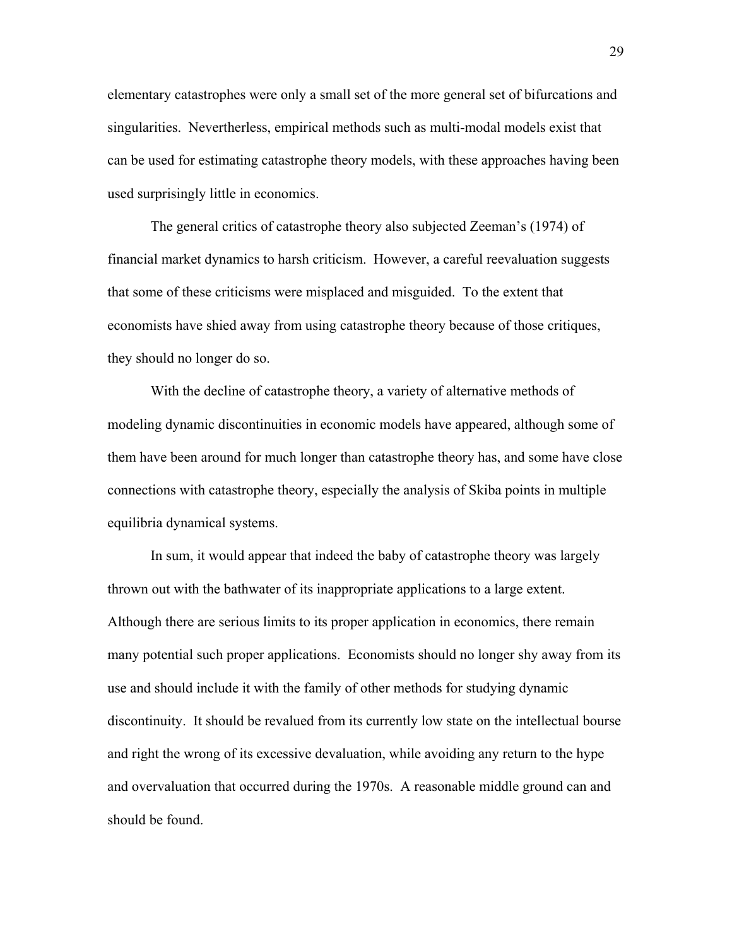elementary catastrophes were only a small set of the more general set of bifurcations and singularities. Nevertherless, empirical methods such as multi-modal models exist that can be used for estimating catastrophe theory models, with these approaches having been used surprisingly little in economics.

 The general critics of catastrophe theory also subjected Zeeman's (1974) of financial market dynamics to harsh criticism. However, a careful reevaluation suggests that some of these criticisms were misplaced and misguided. To the extent that economists have shied away from using catastrophe theory because of those critiques, they should no longer do so.

 With the decline of catastrophe theory, a variety of alternative methods of modeling dynamic discontinuities in economic models have appeared, although some of them have been around for much longer than catastrophe theory has, and some have close connections with catastrophe theory, especially the analysis of Skiba points in multiple equilibria dynamical systems.

In sum, it would appear that indeed the baby of catastrophe theory was largely thrown out with the bathwater of its inappropriate applications to a large extent. Although there are serious limits to its proper application in economics, there remain many potential such proper applications. Economists should no longer shy away from its use and should include it with the family of other methods for studying dynamic discontinuity. It should be revalued from its currently low state on the intellectual bourse and right the wrong of its excessive devaluation, while avoiding any return to the hype and overvaluation that occurred during the 1970s. A reasonable middle ground can and should be found.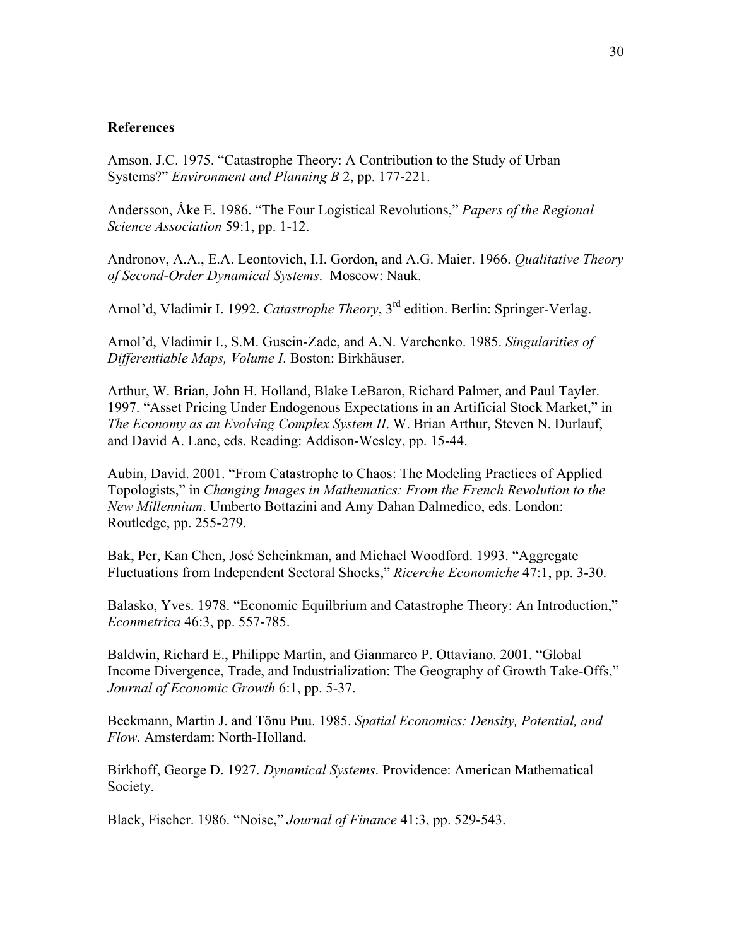# **References**

Amson, J.C. 1975. "Catastrophe Theory: A Contribution to the Study of Urban Systems?" *Environment and Planning B* 2, pp. 177-221.

Andersson, Åke E. 1986. "The Four Logistical Revolutions," *Papers of the Regional Science Association* 59:1, pp. 1-12.

Andronov, A.A., E.A. Leontovich, I.I. Gordon, and A.G. Maier. 1966. *Qualitative Theory of Second-Order Dynamical Systems*. Moscow: Nauk.

Arnol'd, Vladimir I. 1992. *Catastrophe Theory*, 3<sup>rd</sup> edition. Berlin: Springer-Verlag.

Arnol'd, Vladimir I., S.M. Gusein-Zade, and A.N. Varchenko. 1985. *Singularities of Differentiable Maps, Volume I*. Boston: Birkhäuser.

Arthur, W. Brian, John H. Holland, Blake LeBaron, Richard Palmer, and Paul Tayler. 1997. "Asset Pricing Under Endogenous Expectations in an Artificial Stock Market," in *The Economy as an Evolving Complex System II*. W. Brian Arthur, Steven N. Durlauf, and David A. Lane, eds. Reading: Addison-Wesley, pp. 15-44.

Aubin, David. 2001. "From Catastrophe to Chaos: The Modeling Practices of Applied Topologists," in *Changing Images in Mathematics: From the French Revolution to the New Millennium*. Umberto Bottazini and Amy Dahan Dalmedico, eds. London: Routledge, pp. 255-279.

Bak, Per, Kan Chen, José Scheinkman, and Michael Woodford. 1993. "Aggregate Fluctuations from Independent Sectoral Shocks," *Ricerche Economiche* 47:1, pp. 3-30.

Balasko, Yves. 1978. "Economic Equilbrium and Catastrophe Theory: An Introduction," *Econmetrica* 46:3, pp. 557-785.

Baldwin, Richard E., Philippe Martin, and Gianmarco P. Ottaviano. 2001. "Global Income Divergence, Trade, and Industrialization: The Geography of Growth Take-Offs," *Journal of Economic Growth* 6:1, pp. 5-37.

Beckmann, Martin J. and Tönu Puu. 1985. *Spatial Economics: Density, Potential, and Flow*. Amsterdam: North-Holland.

Birkhoff, George D. 1927. *Dynamical Systems*. Providence: American Mathematical Society.

Black, Fischer. 1986. "Noise," *Journal of Finance* 41:3, pp. 529-543.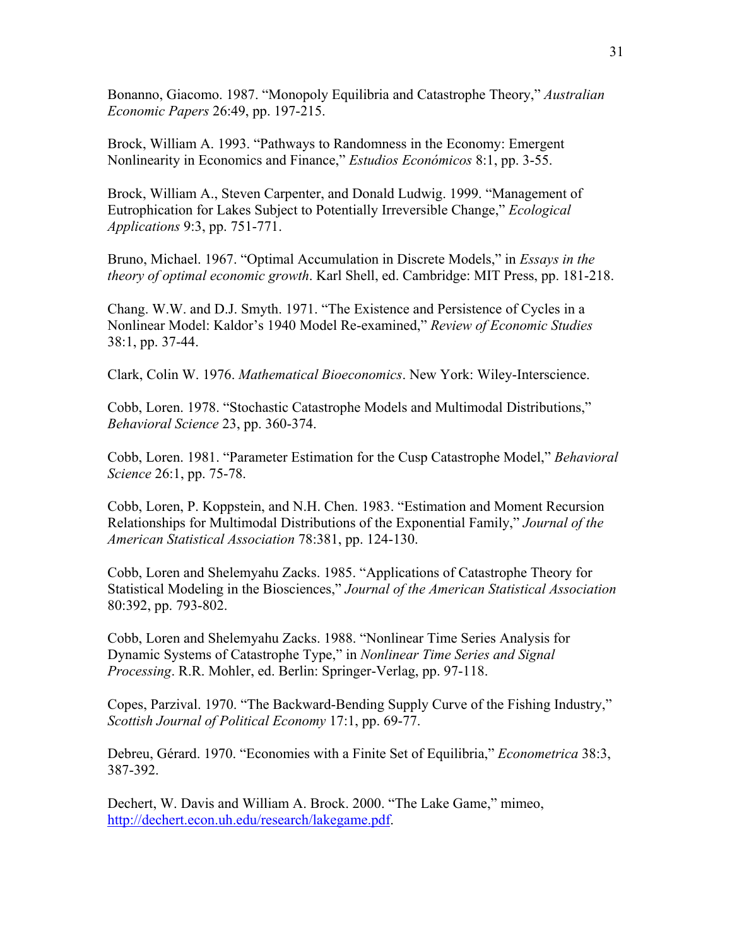Bonanno, Giacomo. 1987. "Monopoly Equilibria and Catastrophe Theory," *Australian Economic Papers* 26:49, pp. 197-215.

Brock, William A. 1993. "Pathways to Randomness in the Economy: Emergent Nonlinearity in Economics and Finance," *Estudios Económicos* 8:1, pp. 3-55.

Brock, William A., Steven Carpenter, and Donald Ludwig. 1999. "Management of Eutrophication for Lakes Subject to Potentially Irreversible Change," *Ecological Applications* 9:3, pp. 751-771.

Bruno, Michael. 1967. "Optimal Accumulation in Discrete Models," in *Essays in the theory of optimal economic growth*. Karl Shell, ed. Cambridge: MIT Press, pp. 181-218.

Chang. W.W. and D.J. Smyth. 1971. "The Existence and Persistence of Cycles in a Nonlinear Model: Kaldor's 1940 Model Re-examined," *Review of Economic Studies* 38:1, pp. 37-44.

Clark, Colin W. 1976. *Mathematical Bioeconomics*. New York: Wiley-Interscience.

Cobb, Loren. 1978. "Stochastic Catastrophe Models and Multimodal Distributions," *Behavioral Science* 23, pp. 360-374.

Cobb, Loren. 1981. "Parameter Estimation for the Cusp Catastrophe Model," *Behavioral Science* 26:1, pp. 75-78.

Cobb, Loren, P. Koppstein, and N.H. Chen. 1983. "Estimation and Moment Recursion Relationships for Multimodal Distributions of the Exponential Family," *Journal of the American Statistical Association* 78:381, pp. 124-130.

Cobb, Loren and Shelemyahu Zacks. 1985. "Applications of Catastrophe Theory for Statistical Modeling in the Biosciences," *Journal of the American Statistical Association* 80:392, pp. 793-802.

Cobb, Loren and Shelemyahu Zacks. 1988. "Nonlinear Time Series Analysis for Dynamic Systems of Catastrophe Type," in *Nonlinear Time Series and Signal Processing*. R.R. Mohler, ed. Berlin: Springer-Verlag, pp. 97-118.

Copes, Parzival. 1970. "The Backward-Bending Supply Curve of the Fishing Industry," *Scottish Journal of Political Economy* 17:1, pp. 69-77.

Debreu, Gérard. 1970. "Economies with a Finite Set of Equilibria," *Econometrica* 38:3, 387-392.

Dechert, W. Davis and William A. Brock. 2000. "The Lake Game," mimeo, [http://dechert.econ.uh.edu/research/lakegame.pdf.](http://dechert.econ.uh.edu/research/lakegame.pdf)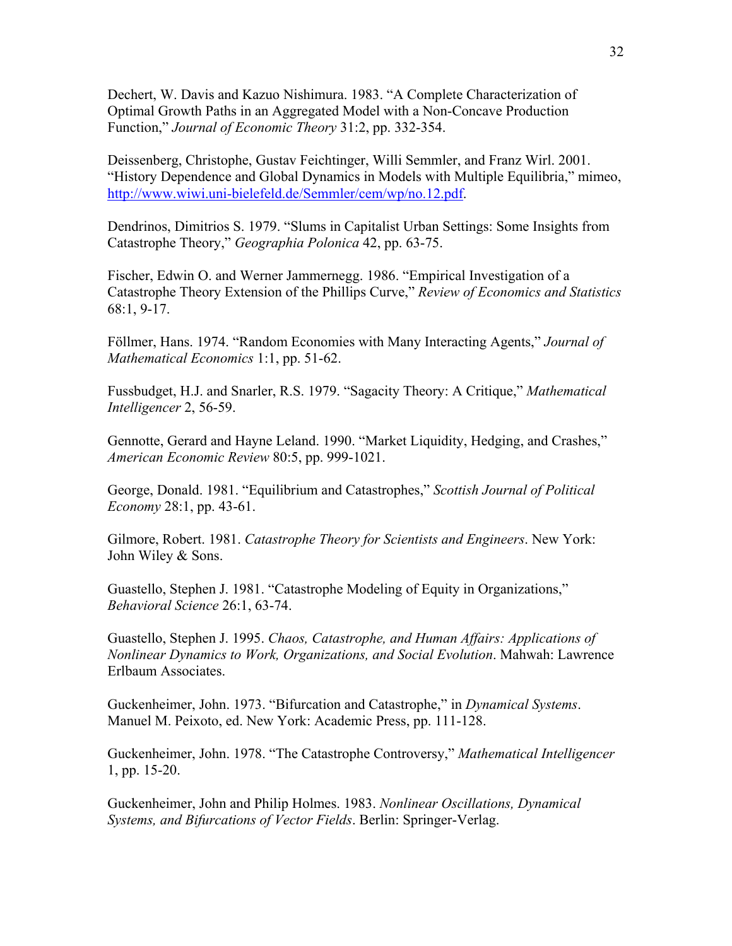Dechert, W. Davis and Kazuo Nishimura. 1983. "A Complete Characterization of Optimal Growth Paths in an Aggregated Model with a Non-Concave Production Function," *Journal of Economic Theory* 31:2, pp. 332-354.

Deissenberg, Christophe, Gustav Feichtinger, Willi Semmler, and Franz Wirl. 2001. "History Dependence and Global Dynamics in Models with Multiple Equilibria," mimeo, [http://www.wiwi.uni-bielefeld.de/Semmler/cem/wp/no.12.pdf.](http://www.wiwi.uni-bielefeld.de/Semmler/cem/wp/no.12.pdf)

Dendrinos, Dimitrios S. 1979. "Slums in Capitalist Urban Settings: Some Insights from Catastrophe Theory," *Geographia Polonica* 42, pp. 63-75.

Fischer, Edwin O. and Werner Jammernegg. 1986. "Empirical Investigation of a Catastrophe Theory Extension of the Phillips Curve," *Review of Economics and Statistics* 68:1, 9-17.

Föllmer, Hans. 1974. "Random Economies with Many Interacting Agents," *Journal of Mathematical Economics* 1:1, pp. 51-62.

Fussbudget, H.J. and Snarler, R.S. 1979. "Sagacity Theory: A Critique," *Mathematical Intelligencer* 2, 56-59.

Gennotte, Gerard and Hayne Leland. 1990. "Market Liquidity, Hedging, and Crashes," *American Economic Review* 80:5, pp. 999-1021.

George, Donald. 1981. "Equilibrium and Catastrophes," *Scottish Journal of Political Economy* 28:1, pp. 43-61.

Gilmore, Robert. 1981. *Catastrophe Theory for Scientists and Engineers*. New York: John Wiley & Sons.

Guastello, Stephen J. 1981. "Catastrophe Modeling of Equity in Organizations," *Behavioral Science* 26:1, 63-74.

Guastello, Stephen J. 1995. *Chaos, Catastrophe, and Human Affairs: Applications of Nonlinear Dynamics to Work, Organizations, and Social Evolution*. Mahwah: Lawrence Erlbaum Associates.

Guckenheimer, John. 1973. "Bifurcation and Catastrophe," in *Dynamical Systems*. Manuel M. Peixoto, ed. New York: Academic Press, pp. 111-128.

Guckenheimer, John. 1978. "The Catastrophe Controversy," *Mathematical Intelligencer* 1, pp. 15-20.

Guckenheimer, John and Philip Holmes. 1983. *Nonlinear Oscillations, Dynamical Systems, and Bifurcations of Vector Fields*. Berlin: Springer-Verlag.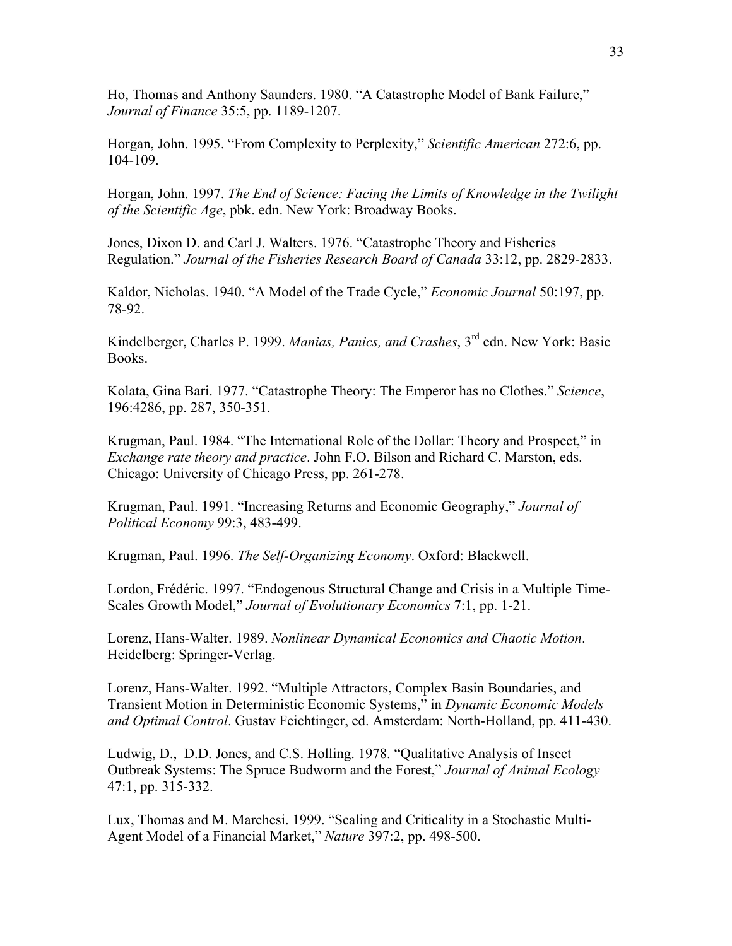Ho, Thomas and Anthony Saunders. 1980. "A Catastrophe Model of Bank Failure," *Journal of Finance* 35:5, pp. 1189-1207.

Horgan, John. 1995. "From Complexity to Perplexity," *Scientific American* 272:6, pp. 104-109.

Horgan, John. 1997. *The End of Science: Facing the Limits of Knowledge in the Twilight of the Scientific Age*, pbk. edn. New York: Broadway Books.

Jones, Dixon D. and Carl J. Walters. 1976. "Catastrophe Theory and Fisheries Regulation." *Journal of the Fisheries Research Board of Canada* 33:12, pp. 2829-2833.

Kaldor, Nicholas. 1940. "A Model of the Trade Cycle," *Economic Journal* 50:197, pp. 78-92.

Kindelberger, Charles P. 1999. *Manias, Panics, and Crashes*, 3rd edn. New York: Basic Books.

Kolata, Gina Bari. 1977. "Catastrophe Theory: The Emperor has no Clothes." *Science*, 196:4286, pp. 287, 350-351.

Krugman, Paul. 1984. "The International Role of the Dollar: Theory and Prospect," in *Exchange rate theory and practice*. John F.O. Bilson and Richard C. Marston, eds. Chicago: University of Chicago Press, pp. 261-278.

Krugman, Paul. 1991. "Increasing Returns and Economic Geography," *Journal of Political Economy* 99:3, 483-499.

Krugman, Paul. 1996. *The Self-Organizing Economy*. Oxford: Blackwell.

Lordon, Frédéric. 1997. "Endogenous Structural Change and Crisis in a Multiple Time-Scales Growth Model," *Journal of Evolutionary Economics* 7:1, pp. 1-21.

Lorenz, Hans-Walter. 1989. *Nonlinear Dynamical Economics and Chaotic Motion*. Heidelberg: Springer-Verlag.

Lorenz, Hans-Walter. 1992. "Multiple Attractors, Complex Basin Boundaries, and Transient Motion in Deterministic Economic Systems," in *Dynamic Economic Models and Optimal Control*. Gustav Feichtinger, ed. Amsterdam: North-Holland, pp. 411-430.

Ludwig, D., D.D. Jones, and C.S. Holling. 1978. "Qualitative Analysis of Insect Outbreak Systems: The Spruce Budworm and the Forest," *Journal of Animal Ecology* 47:1, pp. 315-332.

Lux, Thomas and M. Marchesi. 1999. "Scaling and Criticality in a Stochastic Multi-Agent Model of a Financial Market," *Nature* 397:2, pp. 498-500.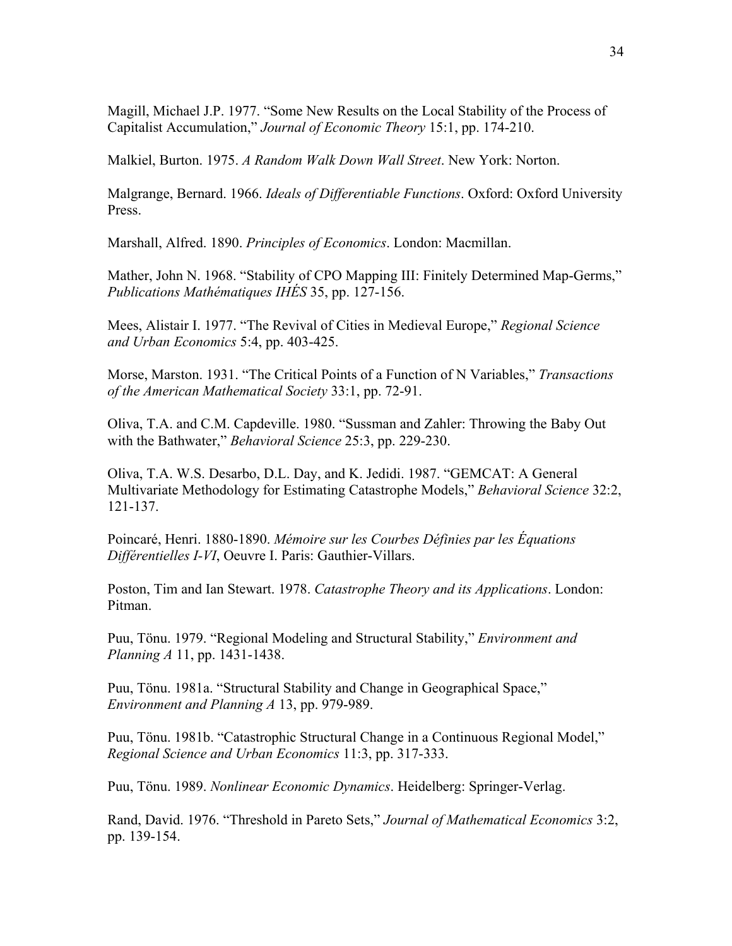Magill, Michael J.P. 1977. "Some New Results on the Local Stability of the Process of Capitalist Accumulation," *Journal of Economic Theory* 15:1, pp. 174-210.

Malkiel, Burton. 1975. *A Random Walk Down Wall Street*. New York: Norton.

Malgrange, Bernard. 1966. *Ideals of Differentiable Functions*. Oxford: Oxford University Press.

Marshall, Alfred. 1890. *Principles of Economics*. London: Macmillan.

Mather, John N. 1968. "Stability of CPO Mapping III: Finitely Determined Map-Germs," *Publications Mathématiques IHÉS* 35, pp. 127-156.

Mees, Alistair I. 1977. "The Revival of Cities in Medieval Europe," *Regional Science and Urban Economics* 5:4, pp. 403-425.

Morse, Marston. 1931. "The Critical Points of a Function of N Variables," *Transactions of the American Mathematical Society* 33:1, pp. 72-91.

Oliva, T.A. and C.M. Capdeville. 1980. "Sussman and Zahler: Throwing the Baby Out with the Bathwater," *Behavioral Science* 25:3, pp. 229-230.

Oliva, T.A. W.S. Desarbo, D.L. Day, and K. Jedidi. 1987. "GEMCAT: A General Multivariate Methodology for Estimating Catastrophe Models," *Behavioral Science* 32:2, 121-137.

Poincaré, Henri. 1880-1890. *Mémoire sur les Courbes Définies par les Équations Différentielles I-VI*, Oeuvre I. Paris: Gauthier-Villars.

Poston, Tim and Ian Stewart. 1978. *Catastrophe Theory and its Applications*. London: Pitman.

Puu, Tönu. 1979. "Regional Modeling and Structural Stability," *Environment and Planning A* 11, pp. 1431-1438.

Puu, Tönu. 1981a. "Structural Stability and Change in Geographical Space," *Environment and Planning A* 13, pp. 979-989.

Puu, Tönu. 1981b. "Catastrophic Structural Change in a Continuous Regional Model," *Regional Science and Urban Economics* 11:3, pp. 317-333.

Puu, Tönu. 1989. *Nonlinear Economic Dynamics*. Heidelberg: Springer-Verlag.

Rand, David. 1976. "Threshold in Pareto Sets," *Journal of Mathematical Economics* 3:2, pp. 139-154.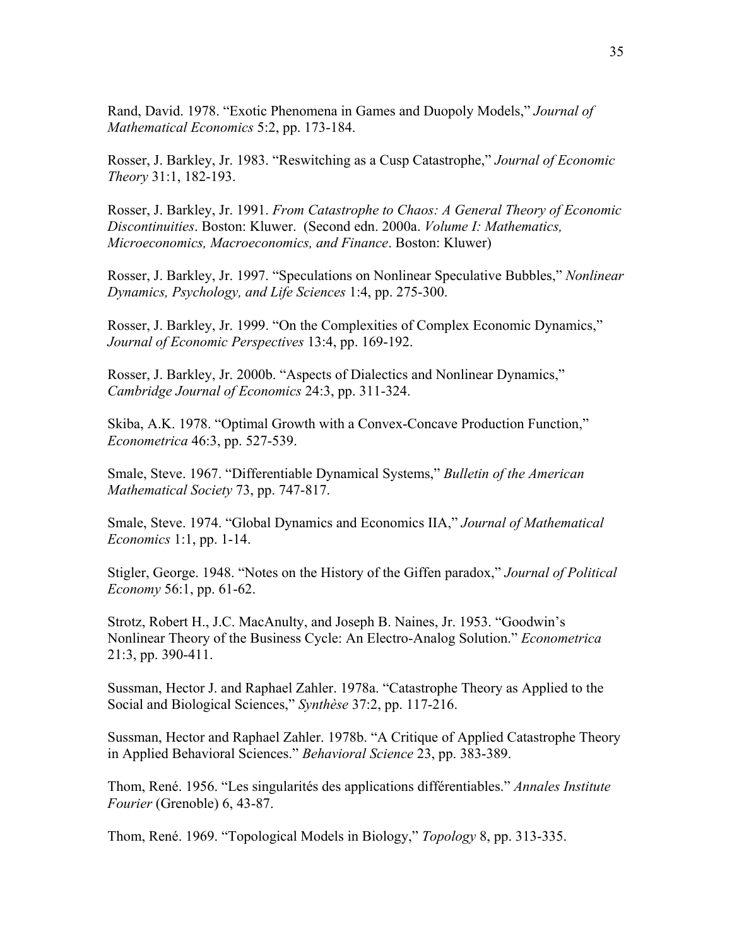Rand, David. 1978. "Exotic Phenomena in Games and Duopoly Models," *Journal of Mathematical Economics* 5:2, pp. 173-184.

Rosser, J. Barkley, Jr. 1983. "Reswitching as a Cusp Catastrophe," *Journal of Economic Theory* 31:1, 182-193.

Rosser, J. Barkley, Jr. 1991. *From Catastrophe to Chaos: A General Theory of Economic Discontinuities*. Boston: Kluwer. (Second edn. 2000a. *Volume I: Mathematics, Microeconomics, Macroeconomics, and Finance*. Boston: Kluwer)

Rosser, J. Barkley, Jr. 1997. "Speculations on Nonlinear Speculative Bubbles," *Nonlinear Dynamics, Psychology, and Life Sciences* 1:4, pp. 275-300.

Rosser, J. Barkley, Jr. 1999. "On the Complexities of Complex Economic Dynamics," *Journal of Economic Perspectives* 13:4, pp. 169-192.

Rosser, J. Barkley, Jr. 2000b. "Aspects of Dialectics and Nonlinear Dynamics," *Cambridge Journal of Economics* 24:3, pp. 311-324.

Skiba, A.K. 1978. "Optimal Growth with a Convex-Concave Production Function," *Econometrica* 46:3, pp. 527-539.

Smale, Steve. 1967. "Differentiable Dynamical Systems," *Bulletin of the American Mathematical Society* 73, pp. 747-817.

Smale, Steve. 1974. "Global Dynamics and Economics IIA," *Journal of Mathematical Economics* 1:1, pp. 1-14.

Stigler, George. 1948. "Notes on the History of the Giffen paradox," *Journal of Political Economy* 56:1, pp. 61-62.

Strotz, Robert H., J.C. MacAnulty, and Joseph B. Naines, Jr. 1953. "Goodwin's Nonlinear Theory of the Business Cycle: An Electro-Analog Solution." *Econometrica* 21:3, pp. 390-411.

Sussman, Hector J. and Raphael Zahler. 1978a. "Catastrophe Theory as Applied to the Social and Biological Sciences," *Synthèse* 37:2, pp. 117-216.

Sussman, Hector and Raphael Zahler. 1978b. "A Critique of Applied Catastrophe Theory in Applied Behavioral Sciences." *Behavioral Science* 23, pp. 383-389.

Thom, René. 1956. "Les singularités des applications différentiables." *Annales Institute Fourier* (Grenoble) 6, 43-87.

Thom, René. 1969. "Topological Models in Biology," *Topology* 8, pp. 313-335.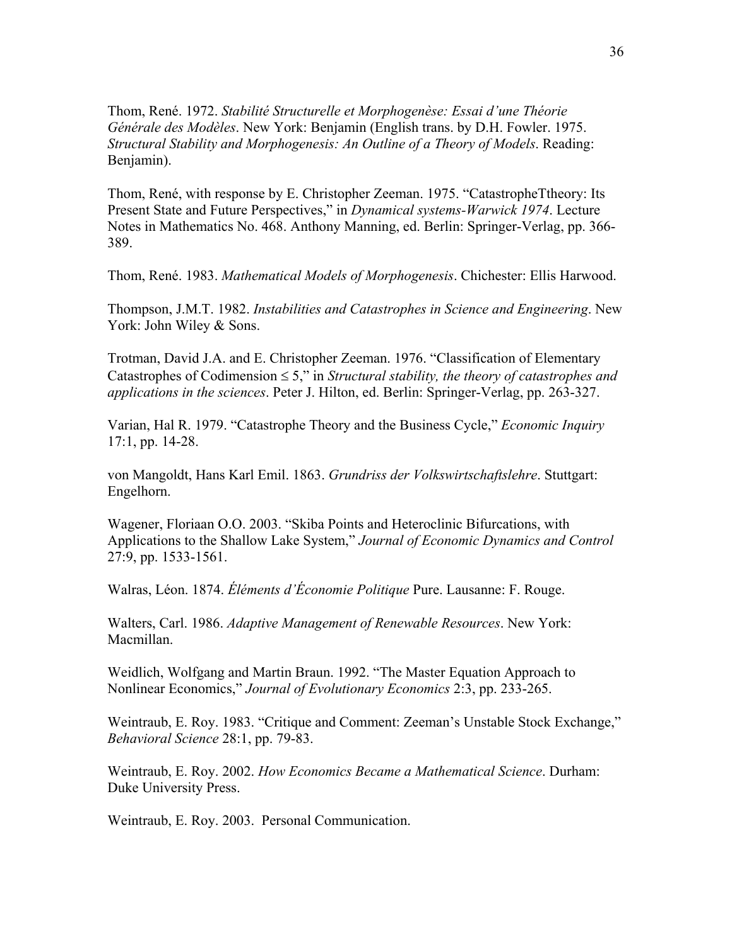Thom, René. 1972. *Stabilité Structurelle et Morphogenèse: Essai d'une Théorie Générale des Modèles*. New York: Benjamin (English trans. by D.H. Fowler. 1975. *Structural Stability and Morphogenesis: An Outline of a Theory of Models*. Reading: Benjamin).

Thom, René, with response by E. Christopher Zeeman. 1975. "CatastropheTtheory: Its Present State and Future Perspectives," in *Dynamical systems-Warwick 1974*. Lecture Notes in Mathematics No. 468. Anthony Manning, ed. Berlin: Springer-Verlag, pp. 366- 389.

Thom, René. 1983. *Mathematical Models of Morphogenesis*. Chichester: Ellis Harwood.

Thompson, J.M.T. 1982. *Instabilities and Catastrophes in Science and Engineering*. New York: John Wiley & Sons.

Trotman, David J.A. and E. Christopher Zeeman. 1976. "Classification of Elementary Catastrophes of Codimension ≤ 5," in *Structural stability, the theory of catastrophes and applications in the sciences*. Peter J. Hilton, ed. Berlin: Springer-Verlag, pp. 263-327.

Varian, Hal R. 1979. "Catastrophe Theory and the Business Cycle," *Economic Inquiry* 17:1, pp. 14-28.

von Mangoldt, Hans Karl Emil. 1863. *Grundriss der Volkswirtschaftslehre*. Stuttgart: Engelhorn.

Wagener, Floriaan O.O. 2003. "Skiba Points and Heteroclinic Bifurcations, with Applications to the Shallow Lake System," *Journal of Economic Dynamics and Control* 27:9, pp. 1533-1561.

Walras, Léon. 1874. *Éléments d'Économie Politique* Pure. Lausanne: F. Rouge.

Walters, Carl. 1986. *Adaptive Management of Renewable Resources*. New York: Macmillan.

Weidlich, Wolfgang and Martin Braun. 1992. "The Master Equation Approach to Nonlinear Economics," *Journal of Evolutionary Economics* 2:3, pp. 233-265.

Weintraub, E. Roy. 1983. "Critique and Comment: Zeeman's Unstable Stock Exchange," *Behavioral Science* 28:1, pp. 79-83.

Weintraub, E. Roy. 2002. *How Economics Became a Mathematical Science*. Durham: Duke University Press.

Weintraub, E. Roy. 2003. Personal Communication.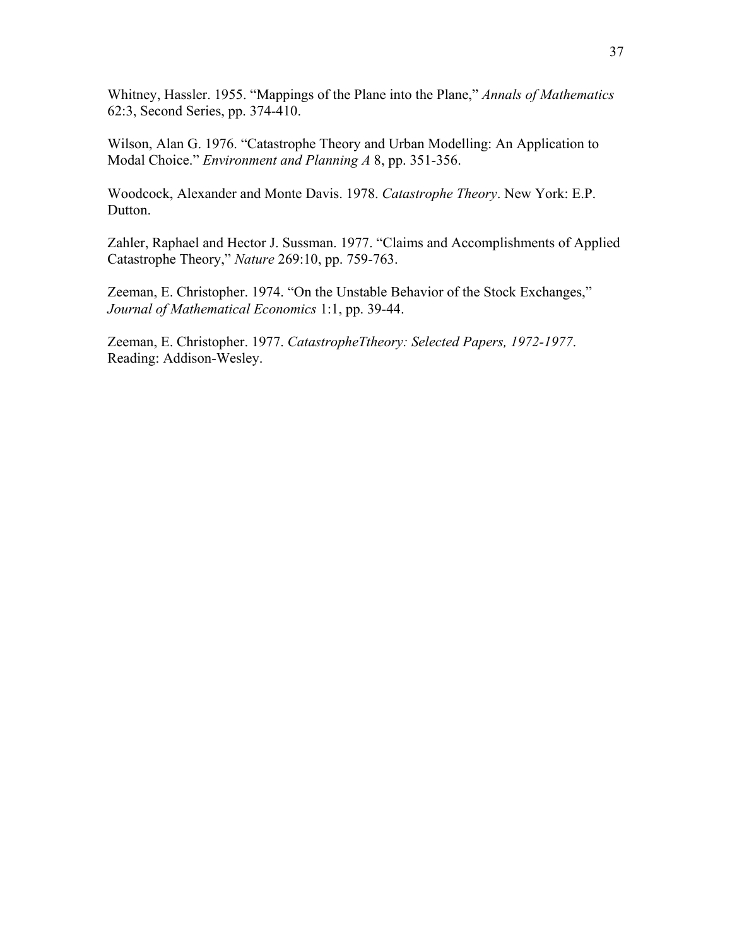Whitney, Hassler. 1955. "Mappings of the Plane into the Plane," *Annals of Mathematics* 62:3, Second Series, pp. 374-410.

Wilson, Alan G. 1976. "Catastrophe Theory and Urban Modelling: An Application to Modal Choice." *Environment and Planning A* 8, pp. 351-356.

Woodcock, Alexander and Monte Davis. 1978. *Catastrophe Theory*. New York: E.P. Dutton.

Zahler, Raphael and Hector J. Sussman. 1977. "Claims and Accomplishments of Applied Catastrophe Theory," *Nature* 269:10, pp. 759-763.

Zeeman, E. Christopher. 1974. "On the Unstable Behavior of the Stock Exchanges," *Journal of Mathematical Economics* 1:1, pp. 39-44.

Zeeman, E. Christopher. 1977. *CatastropheTtheory: Selected Papers, 1972-1977*. Reading: Addison-Wesley.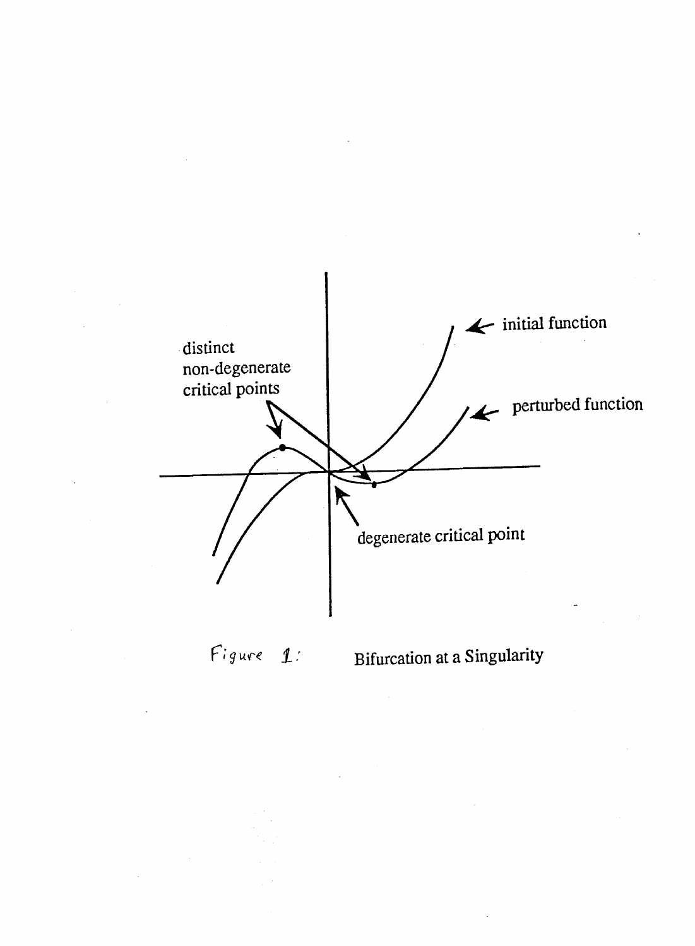

Figure 1:

Bifurcation at a Singularity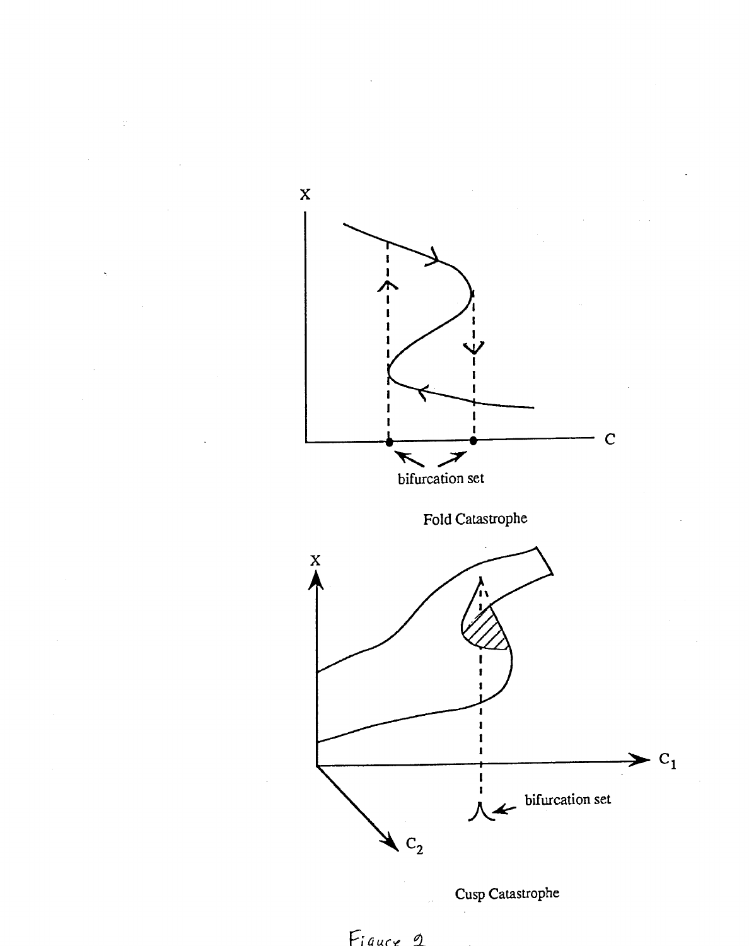



Cusp Catastrophe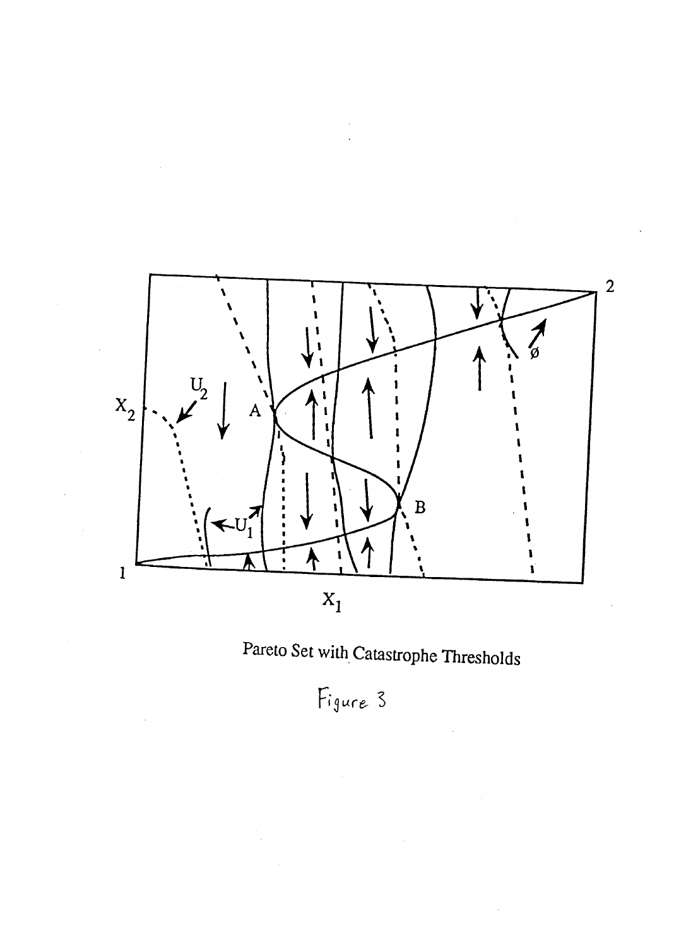

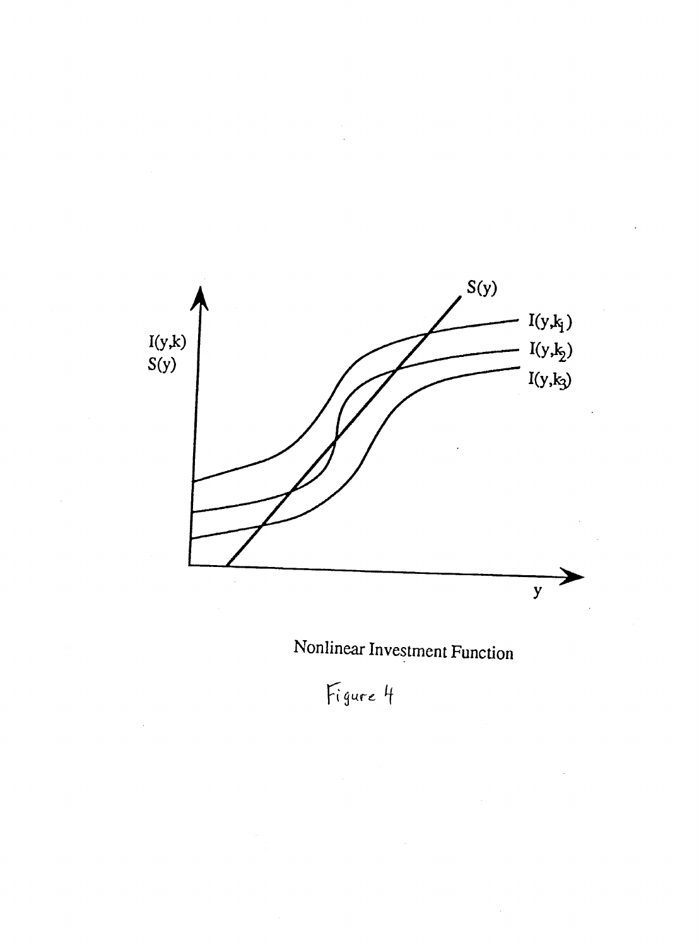

Nonlinear Investment Function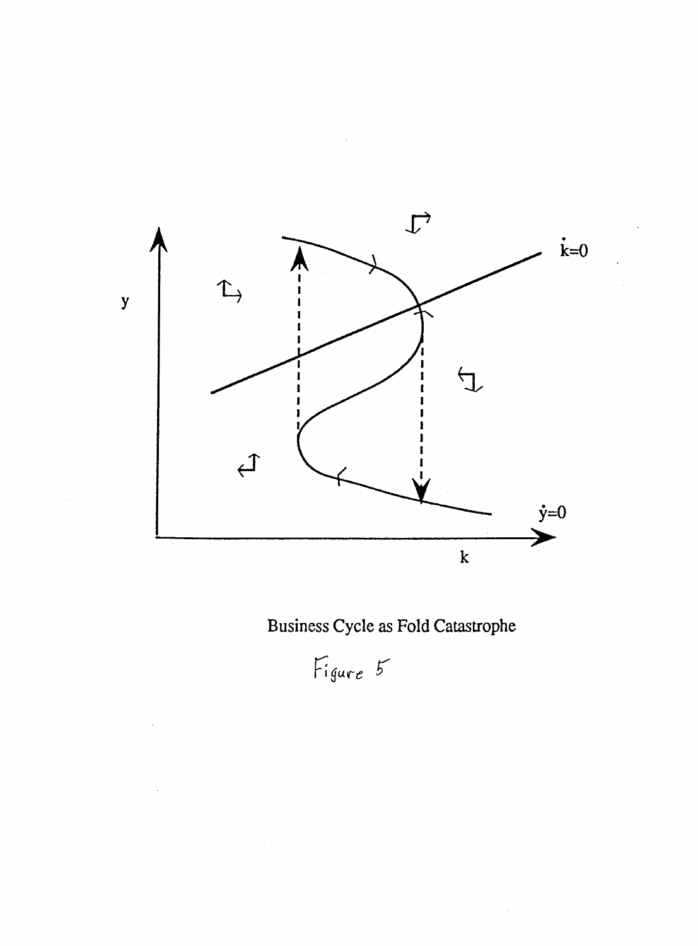

Business Cycle as Fold Catastrophe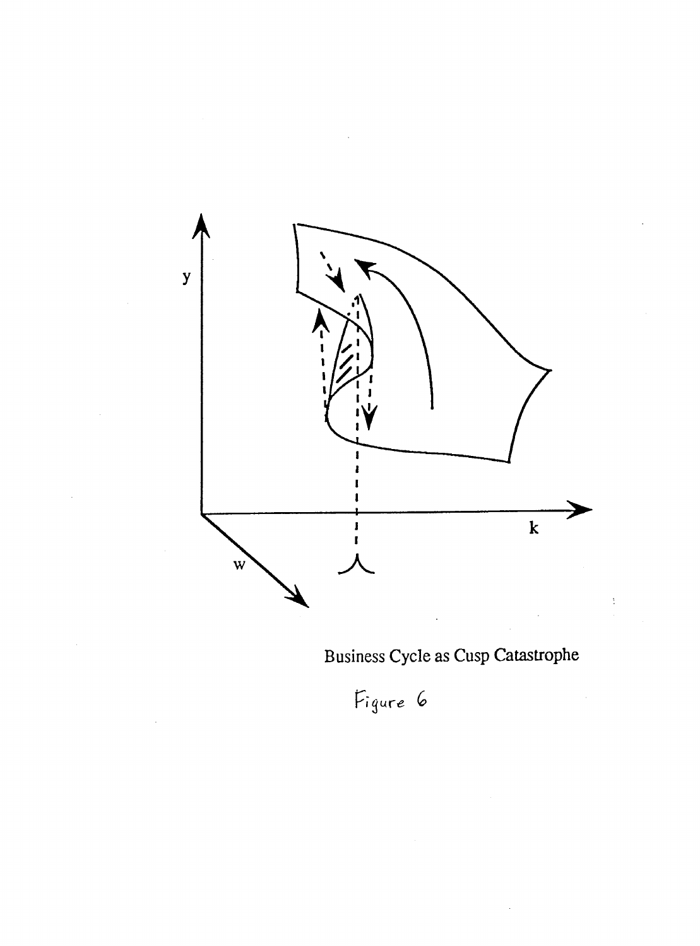

Business Cycle as Cusp Catastrophe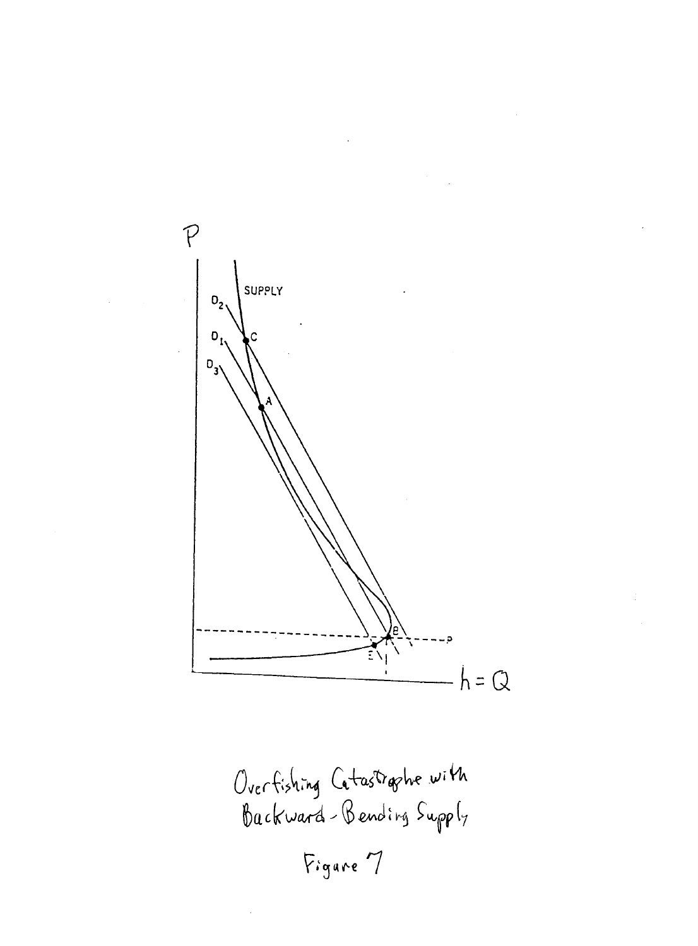$P$ SUPPLY  $O<sub>2</sub>$  $\mathbf{0}_{1}$ C  $D_{3}$  $\widetilde{\Xi}\setminus$  $h = Q$ 

Overfishing Catastrophe with<br>Backward-Bending Supply Figure 7